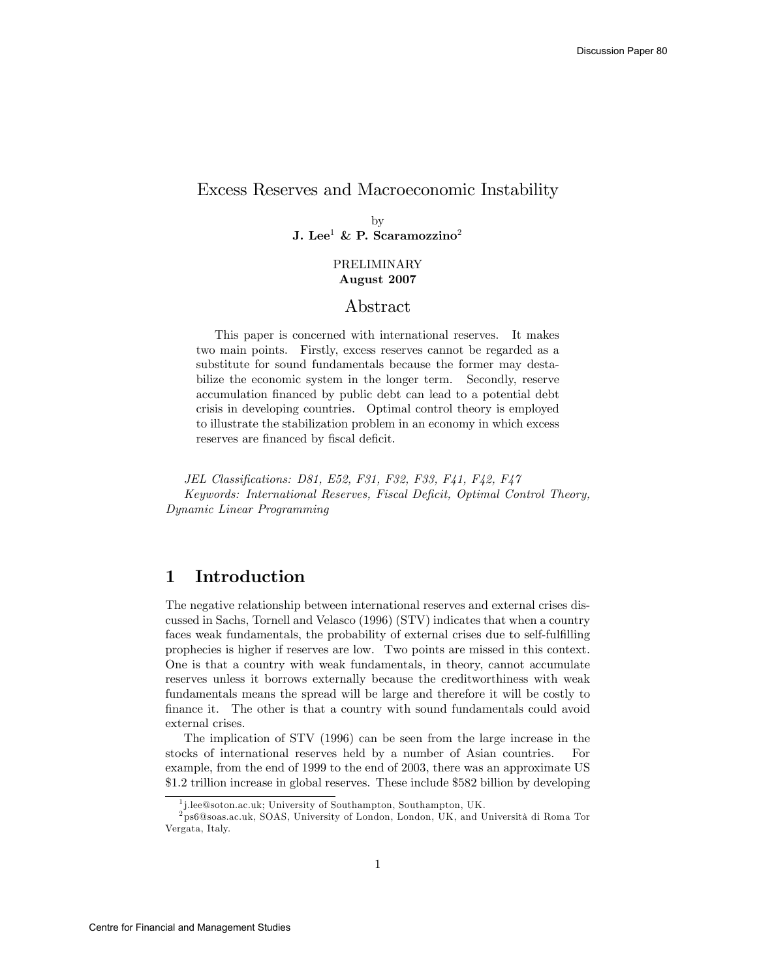## Excess Reserves and Macroeconomic Instability

by J. Lee<sup>1</sup> & P. Scaramozzino<sup>2</sup>

### PRELIMINARY August 2007

## Abstract

This paper is concerned with international reserves. It makes two main points. Firstly, excess reserves cannot be regarded as a substitute for sound fundamentals because the former may destabilize the economic system in the longer term. Secondly, reserve accumulation financed by public debt can lead to a potential debt crisis in developing countries. Optimal control theory is employed to illustrate the stabilization problem in an economy in which excess reserves are financed by fiscal deficit.

JEL Classifications: D81, E52, F31, F32, F33, F41, F42, F47 Keywords: International Reserves, Fiscal Deficit, Optimal Control Theory, Dynamic Linear Programming

# 1 Introduction

The negative relationship between international reserves and external crises discussed in Sachs, Tornell and Velasco (1996) (STV) indicates that when a country faces weak fundamentals, the probability of external crises due to self-fulfilling prophecies is higher if reserves are low. Two points are missed in this context. One is that a country with weak fundamentals, in theory, cannot accumulate reserves unless it borrows externally because the creditworthiness with weak fundamentals means the spread will be large and therefore it will be costly to finance it. The other is that a country with sound fundamentals could avoid external crises.

The implication of STV (1996) can be seen from the large increase in the stocks of international reserves held by a number of Asian countries. For example, from the end of 1999 to the end of 2003, there was an approximate US \$1.2 trillion increase in global reserves. These include \$582 billion by developing

<sup>1</sup> j.lee@soton.ac.uk; University of Southampton, Southampton, UK.

 $^{2}$ ps6@soas.ac.uk, SOAS, University of London, London, UK, and Università di Roma Tor Vergata, Italy.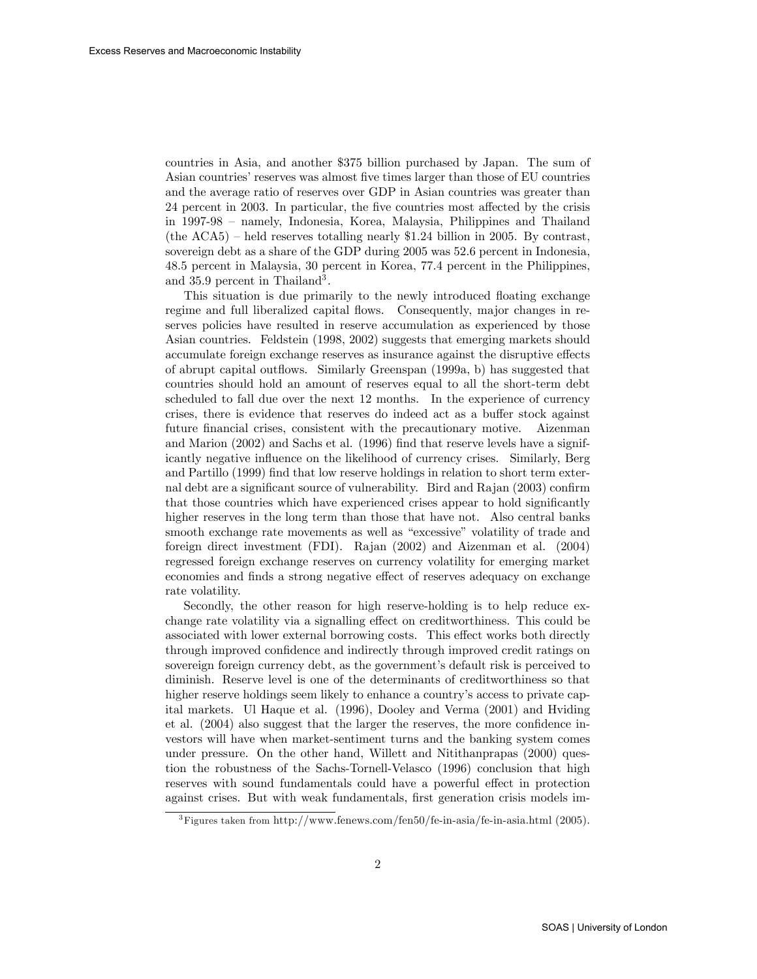countries in Asia, and another \$375 billion purchased by Japan. The sum of Asian countries' reserves was almost five times larger than those of EU countries and the average ratio of reserves over GDP in Asian countries was greater than 24 percent in 2003. In particular, the five countries most affected by the crisis in 1997-98 – namely, Indonesia, Korea, Malaysia, Philippines and Thailand (the ACA5) – held reserves totalling nearly \$1.24 billion in 2005. By contrast, sovereign debt as a share of the GDP during 2005 was 52.6 percent in Indonesia, 48.5 percent in Malaysia, 30 percent in Korea, 77.4 percent in the Philippines, and 35.9 percent in Thailand<sup>3</sup>.

This situation is due primarily to the newly introduced floating exchange regime and full liberalized capital flows. Consequently, major changes in reserves policies have resulted in reserve accumulation as experienced by those Asian countries. Feldstein (1998, 2002) suggests that emerging markets should accumulate foreign exchange reserves as insurance against the disruptive effects of abrupt capital outáows. Similarly Greenspan (1999a, b) has suggested that countries should hold an amount of reserves equal to all the short-term debt scheduled to fall due over the next 12 months. In the experience of currency crises, there is evidence that reserves do indeed act as a buffer stock against future financial crises, consistent with the precautionary motive. Aizenman and Marion  $(2002)$  and Sachs et al.  $(1996)$  find that reserve levels have a significantly negative influence on the likelihood of currency crises. Similarly, Berg and Partillo (1999) find that low reserve holdings in relation to short term external debt are a significant source of vulnerability. Bird and Rajan (2003) confirm that those countries which have experienced crises appear to hold significantly higher reserves in the long term than those that have not. Also central banks smooth exchange rate movements as well as "excessive" volatility of trade and foreign direct investment (FDI). Rajan (2002) and Aizenman et al. (2004) regressed foreign exchange reserves on currency volatility for emerging market economies and finds a strong negative effect of reserves adequacy on exchange rate volatility.

Secondly, the other reason for high reserve-holding is to help reduce exchange rate volatility via a signalling effect on creditworthiness. This could be associated with lower external borrowing costs. This effect works both directly through improved confidence and indirectly through improved credit ratings on sovereign foreign currency debt, as the government's default risk is perceived to diminish. Reserve level is one of the determinants of creditworthiness so that higher reserve holdings seem likely to enhance a country's access to private capital markets. Ul Haque et al. (1996), Dooley and Verma (2001) and Hviding et al.  $(2004)$  also suggest that the larger the reserves, the more confidence investors will have when market-sentiment turns and the banking system comes under pressure. On the other hand, Willett and Nitithanprapas (2000) question the robustness of the Sachs-Tornell-Velasco (1996) conclusion that high reserves with sound fundamentals could have a powerful effect in protection against crises. But with weak fundamentals, first generation crisis models im-

<sup>&</sup>lt;sup>3</sup>Figures taken from http://www.fenews.com/fen50/fe-in-asia/fe-in-asia.html (2005).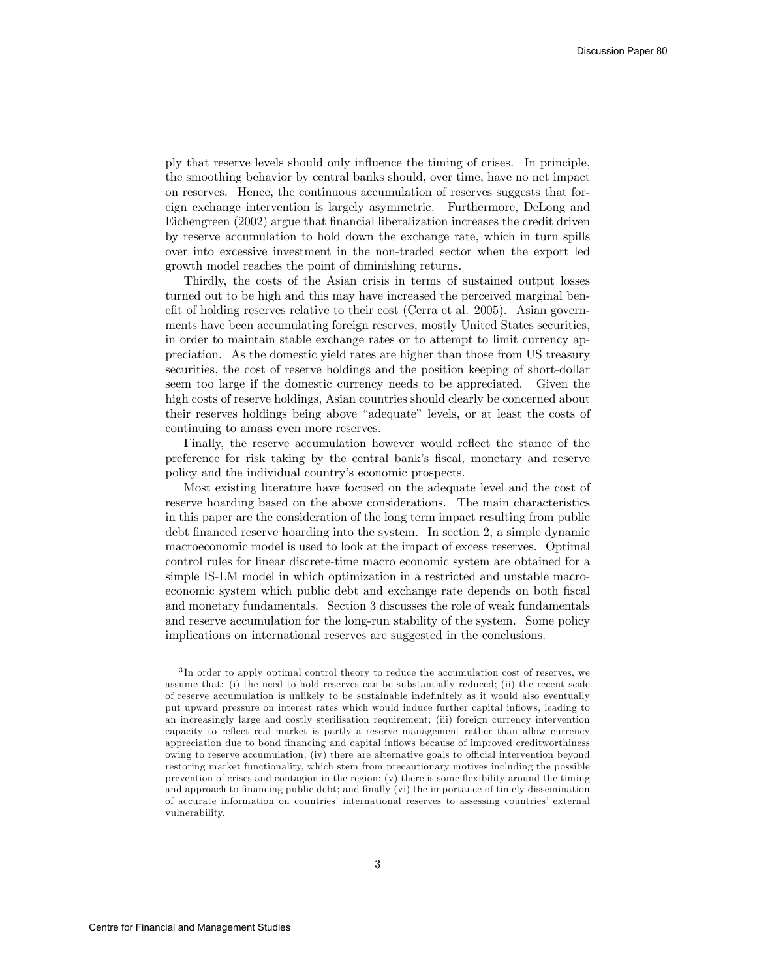ply that reserve levels should only ináuence the timing of crises. In principle, the smoothing behavior by central banks should, over time, have no net impact on reserves. Hence, the continuous accumulation of reserves suggests that foreign exchange intervention is largely asymmetric. Furthermore, DeLong and Eichengreen (2002) argue that Önancial liberalization increases the credit driven by reserve accumulation to hold down the exchange rate, which in turn spills over into excessive investment in the non-traded sector when the export led growth model reaches the point of diminishing returns.

Thirdly, the costs of the Asian crisis in terms of sustained output losses turned out to be high and this may have increased the perceived marginal benefit of holding reserves relative to their cost (Cerra et al. 2005). Asian governments have been accumulating foreign reserves, mostly United States securities, in order to maintain stable exchange rates or to attempt to limit currency appreciation. As the domestic yield rates are higher than those from US treasury securities, the cost of reserve holdings and the position keeping of short-dollar seem too large if the domestic currency needs to be appreciated. Given the high costs of reserve holdings, Asian countries should clearly be concerned about their reserves holdings being above "adequate" levels, or at least the costs of continuing to amass even more reserves.

Finally, the reserve accumulation however would reflect the stance of the preference for risk taking by the central bank's fiscal, monetary and reserve policy and the individual countryís economic prospects.

Most existing literature have focused on the adequate level and the cost of reserve hoarding based on the above considerations. The main characteristics in this paper are the consideration of the long term impact resulting from public debt Önanced reserve hoarding into the system. In section 2, a simple dynamic macroeconomic model is used to look at the impact of excess reserves. Optimal control rules for linear discrete-time macro economic system are obtained for a simple IS-LM model in which optimization in a restricted and unstable macroeconomic system which public debt and exchange rate depends on both Öscal and monetary fundamentals. Section 3 discusses the role of weak fundamentals and reserve accumulation for the long-run stability of the system. Some policy implications on international reserves are suggested in the conclusions.

<sup>&</sup>lt;sup>3</sup>In order to apply optimal control theory to reduce the accumulation cost of reserves, we assume that: (i) the need to hold reserves can be substantially reduced; (ii) the recent scale of reserve accumulation is unlikely to be sustainable indeÖnitely as it would also eventually put upward pressure on interest rates which would induce further capital inflows, leading to an increasingly large and costly sterilisation requirement; (iii) foreign currency intervention capacity to reflect real market is partly a reserve management rather than allow currency appreciation due to bond financing and capital inflows because of improved creditworthiness owing to reserve accumulation; (iv) there are alternative goals to official intervention beyond restoring market functionality, which stem from precautionary motives including the possible prevention of crises and contagion in the region;  $(v)$  there is some flexibility around the timing and approach to financing public debt; and finally (vi) the importance of timely dissemination of accurate information on countries' international reserves to assessing countries' external vulnerability.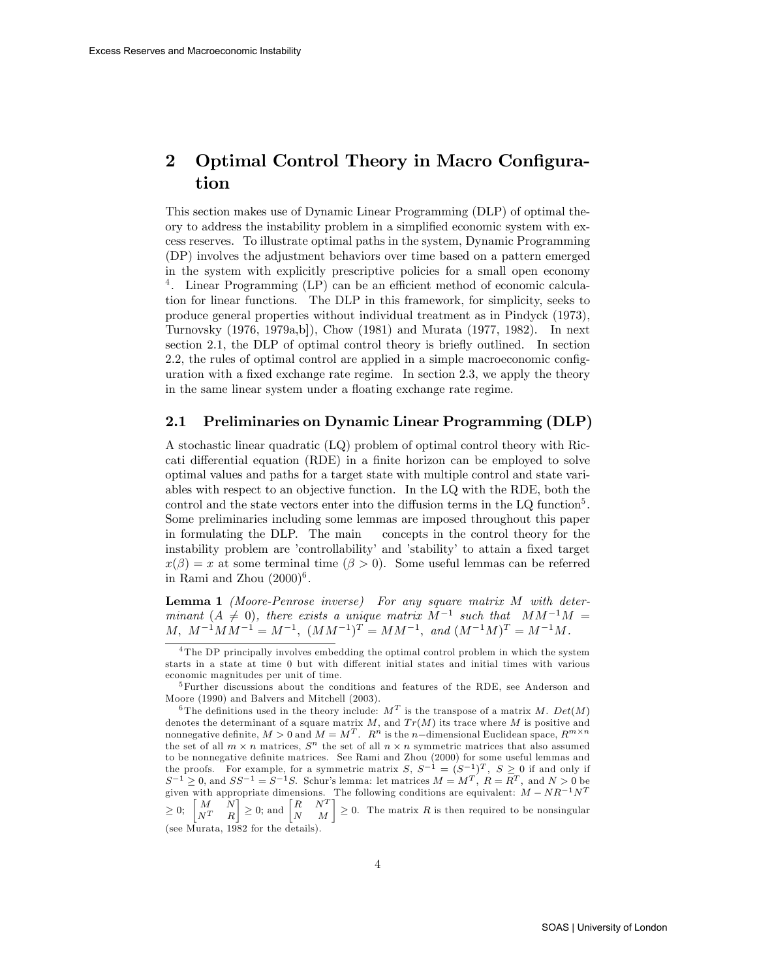# 2 Optimal Control Theory in Macro Configuration

This section makes use of Dynamic Linear Programming (DLP) of optimal theory to address the instability problem in a simplified economic system with excess reserves. To illustrate optimal paths in the system, Dynamic Programming (DP) involves the adjustment behaviors over time based on a pattern emerged in the system with explicitly prescriptive policies for a small open economy <sup>4</sup>. Linear Programming (LP) can be an efficient method of economic calculation for linear functions. The DLP in this framework, for simplicity, seeks to produce general properties without individual treatment as in Pindyck (1973), Turnovsky (1976, 1979a,b]), Chow (1981) and Murata (1977, 1982). In next section 2.1, the DLP of optimal control theory is briefly outlined. In section 2.2, the rules of optimal control are applied in a simple macroeconomic configuration with a fixed exchange rate regime. In section  $2.3$ , we apply the theory in the same linear system under a floating exchange rate regime.

### 2.1 Preliminaries on Dynamic Linear Programming (DLP)

A stochastic linear quadratic (LQ) problem of optimal control theory with Riccati differential equation (RDE) in a finite horizon can be employed to solve optimal values and paths for a target state with multiple control and state variables with respect to an objective function. In the LQ with the RDE, both the control and the state vectors enter into the diffusion terms in the  $LQ$  function<sup>5</sup>. Some preliminaries including some lemmas are imposed throughout this paper in formulating the DLP. The main concepts in the control theory for the instability problem are 'controllability' and 'stability' to attain a fixed target  $x(\beta) = x$  at some terminal time  $(\beta > 0)$ . Some useful lemmas can be referred in Rami and Zhou  $(2000)^6$ .

Lemma 1 (Moore-Penrose inverse) For any square matrix M with determinant  $(A \neq 0)$ , there exists a unique matrix  $M^{-1}$  such that  $MM^{-1}M =$  $M, M^{-1}MM^{-1} = M^{-1}, (MM^{-1})^T = MM^{-1}, and (M^{-1}M)^T = M^{-1}M.$ 

<sup>&</sup>lt;sup>4</sup>The DP principally involves embedding the optimal control problem in which the system starts in a state at time 0 but with different initial states and initial times with various economic magnitudes per unit of time.

<sup>&</sup>lt;sup>5</sup>Further discussions about the conditions and features of the RDE, see Anderson and Moore (1990) and Balvers and Mitchell (2003).

<sup>&</sup>lt;sup>6</sup>The definitions used in the theory include:  $M<sup>T</sup>$  is the transpose of a matrix M. Det(M) denotes the determinant of a square matrix  $M$ , and  $Tr(M)$  its trace where M is positive and nonnegative definite,  $M > 0$  and  $M = M^T$ .  $R^n$  is the n-dimensional Euclidean space,  $R^{m \times n}$ the set of all  $m \times n$  matrices,  $S^n$  the set of all  $n \times n$  symmetric matrices that also assumed to be nonnegative definite matrices. See Rami and Zhou (2000) for some useful lemmas and the proofs. For example, for a symmetric matrix  $S, S^{-1} = (S^{-1})^T, S \geq 0$  if and only if  $S^{-1} \geq 0$ , and  $SS^{-1} = S^{-1}S$ . Schur's lemma: let matrices  $M = M^T$ ,  $R = R^T$ , and  $N > 0$  be given with appropriate dimensions. The following conditions are equivalent:  $M - NR^{-1}N^{T}$  $\geq 0;$   $\begin{bmatrix} M & N \\ N^T & R \end{bmatrix}$  $\left| \begin{array}{cc} R & N^T \\ \geq 0; \text{ and } \begin{bmatrix} R & N^T \\ N & M \end{bmatrix} \end{array} \right| \geq 0.$  The matrix R is then required to be nonsingular

 $N^T$  R (see Murata, 1982 for the details).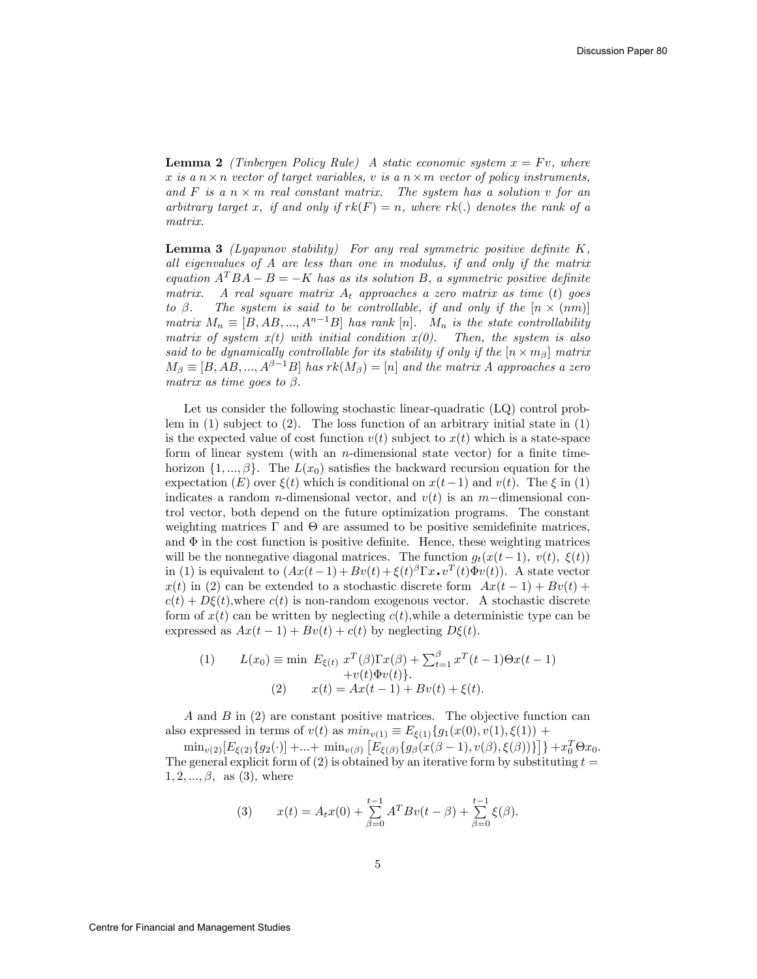**Lemma 2** (Tinbergen Policy Rule) A static economic system  $x = Fv$ , where x is a  $n \times n$  vector of target variables, v is a  $n \times m$  vector of policy instruments, and F is a  $n \times m$  real constant matrix. The system has a solution v for an arbitrary target x, if and only if  $rk(F) = n$ , where  $rk(.)$  denotes the rank of a matrix.

**Lemma 3** (Lyapunov stability) For any real symmetric positive definite  $K$ , all eigenvalues of A are less than one in modulus, if and only if the matrix equation  $A^TBA - B = -K$  has as its solution B, a symmetric positive definite matrix. A real square matrix  $A_t$  approaches a zero matrix as time (t) goes to  $\beta$ . The system is said to be controllable, if and only if the  $[n \times (nm)]$ to  $\beta$ . The system is said to be controllable, if and only if the  $[n \times (nm)]$ matrix  $M_n \equiv [B, AB, ..., A^{n-1}B]$  has rank  $[n]$ .  $M_n$  is the state controllability matrix of system  $x(t)$  with initial condition  $x(0)$ . Then, the system is also said to be dynamically controllable for its stability if only if the  $[n \times m_\beta]$  matrix  $M_{\beta} \equiv [B, AB, ..., A^{\beta-1}B]$  has  $rk(M_{\beta}) = [n]$  and the matrix A approaches a zero matrix as time goes to  $\beta$ .

Let us consider the following stochastic linear-quadratic (LQ) control problem in  $(1)$  subject to  $(2)$ . The loss function of an arbitrary initial state in  $(1)$ is the expected value of cost function  $v(t)$  subject to  $x(t)$  which is a state-space form of linear system (with an *n*-dimensional state vector) for a finite timehorizon  $\{1, ..., \beta\}$ . The  $L(x_0)$  satisfies the backward recursion equation for the expectation (E) over  $\xi(t)$  which is conditional on  $x(t-1)$  and  $v(t)$ . The  $\xi$  in (1) indicates a random *n*-dimensional vector, and  $v(t)$  is an *m*-dimensional control vector, both depend on the future optimization programs. The constant weighting matrices  $\Gamma$  and  $\Theta$  are assumed to be positive semidefinite matrices, and  $\Phi$  in the cost function is positive definite. Hence, these weighting matrices will be the nonnegative diagonal matrices. The function  $g_t(x(t-1), v(t), \xi(t))$ in (1) is equivalent to  $(Ax(t-1) + Bv(t) + \xi(t)^{\beta} \Gamma x \cdot v^T(t) \Phi v(t))$ . A state vector  $x(t)$  in (2) can be extended to a stochastic discrete form  $Ax(t-1) + Bv(t) +$  $c(t) + D\xi(t)$ , where  $c(t)$  is non-random exogenous vector. A stochastic discrete form of  $x(t)$  can be written by neglecting  $c(t)$ , while a deterministic type can be expressed as  $Ax(t-1) + Bv(t) + c(t)$  by neglecting  $D\xi(t)$ .

(1) 
$$
L(x_0) \equiv \min \ E_{\xi(t)} \ x^T(\beta) \Gamma x(\beta) + \sum_{t=1}^{\beta} x^T(t-1) \Theta x(t-1) + v(t) \Phi v(t) \}.
$$
  
(2) 
$$
x(t) = Ax(t-1) + Bv(t) + \xi(t).
$$

A and B in (2) are constant positive matrices. The objective function can also expressed in terms of  $v(t)$  as  $min_{v(1)} \equiv E_{\xi(1)}\{g_1(x(0), v(1), \xi(1)) +$ 

 $\min_{v(2)} [E_{\xi(2)}\{g_2(\cdot)] + ... + \min_{v(\beta)} [E_{\xi(\beta)}\{g_\beta(x(\beta-1), v(\beta), \xi(\beta))\}] \} + x_0^T \Theta x_0.$ The general explicit form of (2) is obtained by an iterative form by substituting  $t =$  $1, 2, ..., \beta$ , as (3), where

(3) 
$$
x(t) = A_t x(0) + \sum_{\beta=0}^{t-1} A^T B v(t - \beta) + \sum_{\beta=0}^{t-1} \xi(\beta).
$$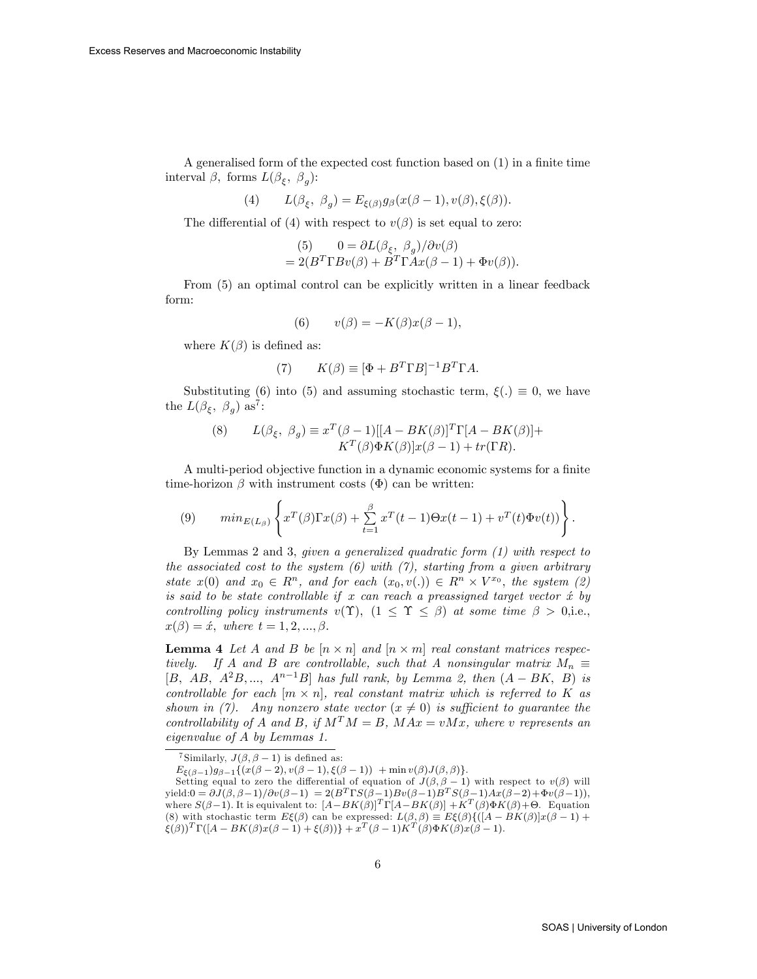A generalised form of the expected cost function based on  $(1)$  in a finite time interval  $\beta$ , forms  $L(\beta_{\xi}, \beta_{g})$ :

$$
(4) \qquad L(\beta_{\xi},\;\beta_{g})=E_{\xi(\beta)}g_{\beta}(x(\beta-1),v(\beta),\xi(\beta)).
$$

The differential of (4) with respect to  $v(\beta)$  is set equal to zero:

(5) 
$$
0 = \frac{\partial L(\beta_{\xi}, \beta_g)}{\partial v(\beta)}
$$
  
= 
$$
2(B^T \Gamma B v(\beta) + B^T \Gamma A x(\beta - 1) + \Phi v(\beta)).
$$

From (5) an optimal control can be explicitly written in a linear feedback form:

$$
(6) \qquad v(\beta) = -K(\beta)x(\beta - 1),
$$

where  $K(\beta)$  is defined as:

$$
(7) \qquad K(\beta) \equiv [\Phi + B^T \Gamma B]^{-1} B^T \Gamma A.
$$

Substituting (6) into (5) and assuming stochastic term,  $\xi(.) \equiv 0$ , we have the  $L(\beta_{\xi}, \beta_{g})$  as<sup>7</sup>:

(8) 
$$
L(\beta_{\xi}, \beta_g) \equiv x^T(\beta - 1)[[A - BK(\beta)]^T \Gamma[A - BK(\beta)] + K^T(\beta) \Phi K(\beta)]x(\beta - 1) + tr(\Gamma R).
$$

A multi-period objective function in a dynamic economic systems for a finite time-horizon  $\beta$  with instrument costs  $(\Phi)$  can be written:

(9) 
$$
min_{E(L_{\beta})}\left\{x^{T}(\beta)\Gamma x(\beta)+\sum_{t=1}^{\beta}x^{T}(t-1)\Theta x(t-1)+v^{T}(t)\Phi v(t))\right\}.
$$

By Lemmas 2 and 3, given a generalized quadratic form (1) with respect to the associated cost to the system  $(6)$  with  $(7)$ , starting from a given arbitrary state  $x(0)$  and  $x_0 \in R^n$ , and for each  $(x_0, v(.) \in R^n \times V^{x_0}$ , the system (2) is said to be state controllable if x can reach a preassigned target vector  $\acute{x}$  by controlling policy instruments  $v(\Upsilon)$ ,  $(1 \leq \Upsilon \leq \beta)$  at some time  $\beta > 0$ , i.e.,  $x(\beta) = \acute{x}, \text{ where } t = 1, 2, ..., \beta.$ 

**Lemma 4** Let A and B be  $[n \times n]$  and  $[n \times m]$  real constant matrices respectively. If A and B are controllable, such that A nonsingular matrix  $M_n \equiv$ [B, AB,  $A^2B$ ,...,  $A^{n-1}B$ ] has full rank, by Lemma 2, then  $(A - BK, B)$  is controllable for each  $[m \times n]$ , real constant matrix which is referred to K as shown in (7). Any nonzero state vector  $(x \neq 0)$  is sufficient to guarantee the controllability of A and B, if  $M^T M = B$ ,  $M Ax = v M x$ , where v represents an eigenvalue of A by Lemmas 1.

<sup>&</sup>lt;sup>7</sup>Similarly,  $J(\beta, \beta - 1)$  is defined as:

 $E_{\xi(\beta-1)}g_{\beta-1}\{(x(\beta-2), v(\beta-1), \xi(\beta-1)) + \min v(\beta)J(\beta, \beta)\}.$ 

Setting equal to zero the differential of equation of  $J(\beta, \beta - 1)$  with respect to  $v(\beta)$  will yield: $0 = \partial J(\beta, \beta - 1)/\partial v(\beta - 1) = 2(B^T \Gamma S(\beta - 1) B v(\beta - 1) B^T S(\beta - 1) A x(\beta - 2) + \Phi v(\beta - 1)),$ where  $S(\beta-1)$ . It is equivalent to:  $[A-BK(\beta)]^T \Gamma[A-BK(\beta)] + K^T(\beta) \Phi K(\beta) + \Theta$ . Equation (8) with stochastic term  $E\xi(\beta)$  can be expressed:  $L(\beta, \beta) \equiv E\xi(\beta)\{([A - BK(\beta)]x(\beta - 1) +$  $\mathcal{E}(\beta))^T \Gamma([A-BK(\beta)x(\beta-1)+\mathcal{E}(\beta))] + x^T(\beta-1)K^T(\beta)\Phi K(\beta)x(\beta-1).$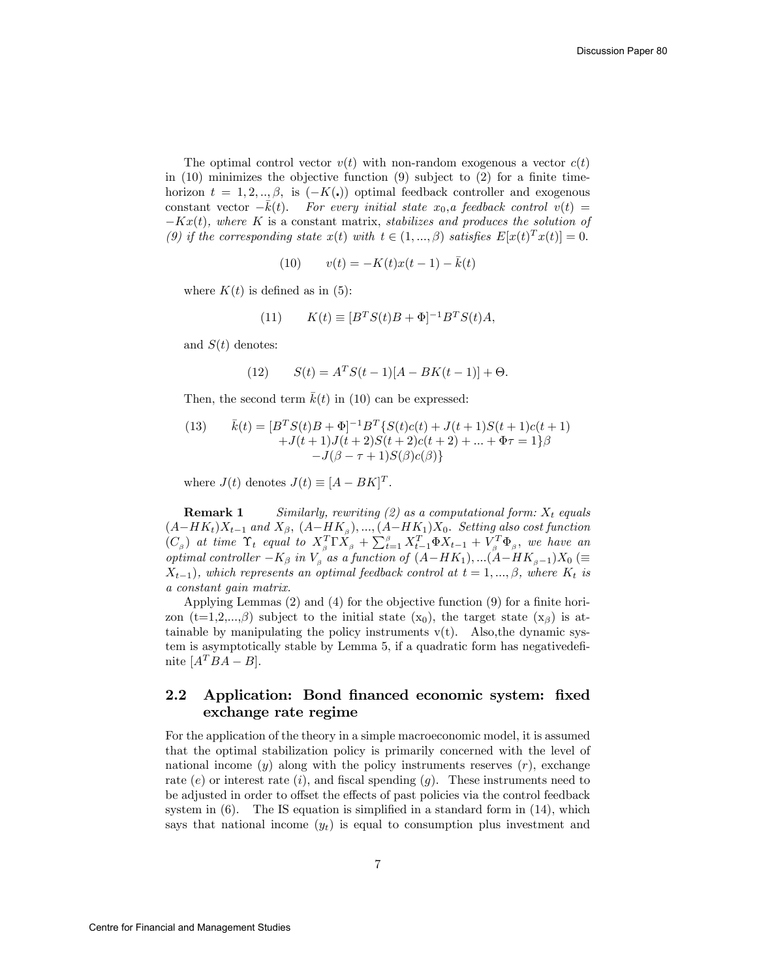The optimal control vector  $v(t)$  with non-random exogenous a vector  $c(t)$ in  $(10)$  minimizes the objective function  $(9)$  subject to  $(2)$  for a finite timehorizon  $t = 1, 2, ..., \beta$ , is  $(-K(.))$  optimal feedback controller and exogenous constant vector  $-\bar{k}(t)$ . For every initial state  $x_0$ , a feedback control  $v(t) =$  $-Kx(t)$ , where K is a constant matrix, stabilizes and produces the solution of (9) if the corresponding state  $x(t)$  with  $t \in (1, ..., \beta)$  satisfies  $E[x(t)^T x(t)] = 0$ .

(10) 
$$
v(t) = -K(t)x(t-1) - \bar{k}(t)
$$

where  $K(t)$  is defined as in (5):

(11) 
$$
K(t) \equiv [B^T S(t)B + \Phi]^{-1} B^T S(t) A,
$$

and  $S(t)$  denotes:

(12) 
$$
S(t) = A^T S(t-1)[A-BK(t-1)] + \Theta.
$$

Then, the second term  $\bar{k}(t)$  in (10) can be expressed:

(13) 
$$
\bar{k}(t) = [B^T S(t)B + \Phi]^{-1} B^T \{ S(t)c(t) + J(t+1)S(t+1)c(t+1) + J(t+1)J(t+2)S(t+2)c(t+2) + \dots + \Phi \tau = 1 \} \beta
$$

$$
-J(\beta - \tau + 1)S(\beta)c(\beta) \}
$$

where  $J(t)$  denotes  $J(t) \equiv [A - BK]^T$ .

**Remark 1** Similarly, rewriting (2) as a computational form:  $X_t$  equals  $(A-HK_t)X_{t-1}$  and  $X_{\beta}$ ,  $(A-HK_{\beta})$ , ...,  $(A-HK_1)X_0$ . Setting also cost function  $(C_\beta)$  at time  $\Upsilon_t$  equal to  $X_\beta^T \Gamma \tilde{X}_\beta + \sum_{t=1}^\beta X_{t-1}^T \Phi X_{t-1} + V_\beta^T \Phi_\beta$ , we have an optimal controller  $-K_{\beta}$  in  $V_{\beta}$  as a function of  $(A-HK_1),...(A-HK_{\beta-1})X_0$  (=  $X_{t-1}$ , which represents an optimal feedback control at  $t = 1, ..., \beta$ , where  $K_t$  is a constant gain matrix.

Applying Lemmas  $(2)$  and  $(4)$  for the objective function  $(9)$  for a finite horizon (t=1,2,..., $\beta$ ) subject to the initial state (x<sub>0</sub>), the target state (x<sub> $\beta$ </sub>) is attainable by manipulating the policy instruments  $v(t)$ . Also, the dynamic system is asymptotically stable by Lemma 5, if a quadratic form has negative definite  $[A^T BA - B]$ .

## 2.2 Application: Bond financed economic system: fixed exchange rate regime

For the application of the theory in a simple macroeconomic model, it is assumed that the optimal stabilization policy is primarily concerned with the level of national income  $(y)$  along with the policy instruments reserves  $(r)$ , exchange rate  $(e)$  or interest rate  $(i)$ , and fiscal spending  $(g)$ . These instruments need to be adjusted in order to offset the effects of past policies via the control feedback system in  $(6)$ . The IS equation is simplified in a standard form in  $(14)$ , which says that national income  $(y_t)$  is equal to consumption plus investment and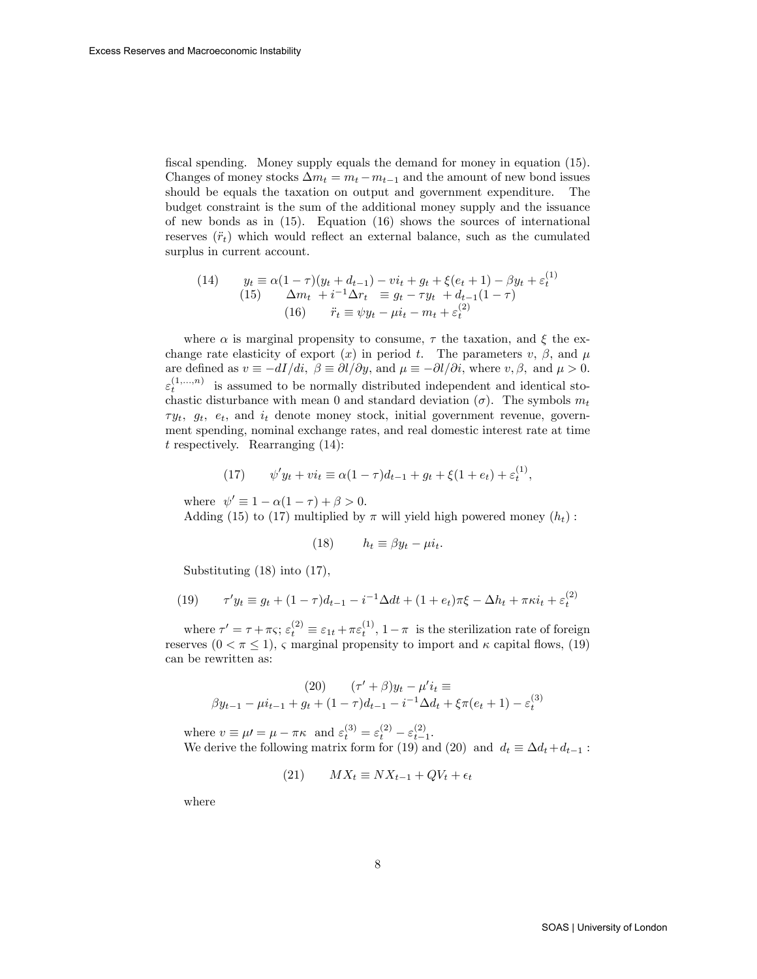fiscal spending. Money supply equals the demand for money in equation (15). Changes of money stocks  $\Delta m_t = m_t - m_{t-1}$  and the amount of new bond issues should be equals the taxation on output and government expenditure. The budget constraint is the sum of the additional money supply and the issuance of new bonds as in  $(15)$ . Equation  $(16)$  shows the sources of international reserves  $(\ddot{r}_t)$  which would reflect an external balance, such as the cumulated surplus in current account.

(14) 
$$
y_t \equiv \alpha (1 - \tau)(y_t + d_{t-1}) - vi_t + g_t + \xi(e_t + 1) - \beta y_t + \varepsilon_t^{(1)}
$$

$$
(15) \quad \Delta m_t + i^{-1} \Delta r_t \equiv g_t - \tau y_t + d_{t-1}(1 - \tau)
$$

$$
(16) \quad \ddot{r}_t \equiv \psi y_t - \mu i_t - m_t + \varepsilon_t^{(2)}
$$

where  $\alpha$  is marginal propensity to consume,  $\tau$  the taxation, and  $\xi$  the exchange rate elasticity of export  $(x)$  in period t. The parameters  $v, \beta$ , and  $\mu$ are defined as  $v \equiv -dI/di$ ,  $\beta \equiv \partial l/\partial y$ , and  $\mu \equiv -\partial l/\partial i$ , where  $v, \beta$ , and  $\mu > 0$ .  $\varepsilon_t^{(1,...,n)}$  is assumed to be normally distributed independent and identical stochastic disturbance with mean 0 and standard deviation  $(\sigma)$ . The symbols  $m_t$  $\tau y_t$ ,  $g_t$ ,  $e_t$ , and  $i_t$  denote money stock, initial government revenue, government spending, nominal exchange rates, and real domestic interest rate at time  $t$  respectively. Rearranging  $(14)$ :

(17) 
$$
\psi' y_t + v i_t \equiv \alpha (1 - \tau) d_{t-1} + g_t + \xi (1 + e_t) + \varepsilon_t^{(1)},
$$

where  $\psi' \equiv 1 - \alpha(1 - \tau) + \beta > 0$ . Adding (15) to (17) multiplied by  $\pi$  will yield high powered money  $(h_t)$ :

(18) 
$$
h_t \equiv \beta y_t - \mu i_t.
$$

Substituting (18) into (17),

(19) 
$$
\tau' y_t \equiv g_t + (1 - \tau) d_{t-1} - i^{-1} \Delta dt + (1 + e_t) \pi \xi - \Delta h_t + \pi \kappa i_t + \varepsilon_t^{(2)}
$$

where  $\tau' = \tau + \pi \varsigma$ ;  $\varepsilon_t^{(2)} \equiv \varepsilon_{1t} + \pi \varepsilon_t^{(1)}$ ,  $1 - \pi$  is the sterilization rate of foreign reserves  $(0 < \pi \leq 1)$ ,  $\varsigma$  marginal propensity to import and  $\kappa$  capital flows, (19) can be rewritten as:

(20) 
$$
(\tau' + \beta)y_t - \mu'i_t \equiv
$$

$$
\beta y_{t-1} - \mu i_{t-1} + g_t + (1 - \tau)d_{t-1} - i^{-1}\Delta d_t + \xi\pi(e_t + 1) - \varepsilon_t^{(3)}
$$

where  $v \equiv \mu = \mu - \pi \kappa$  and  $\varepsilon_t^{(3)} = \varepsilon_t^{(2)} - \varepsilon_{t-1}^{(2)}$ . We derive the following matrix form for (19) and (20) and  $d_t \equiv \Delta d_t + d_{t-1}$ :

$$
(21) \qquad MX_t \equiv NX_{t-1} + QV_t + \epsilon_t
$$

where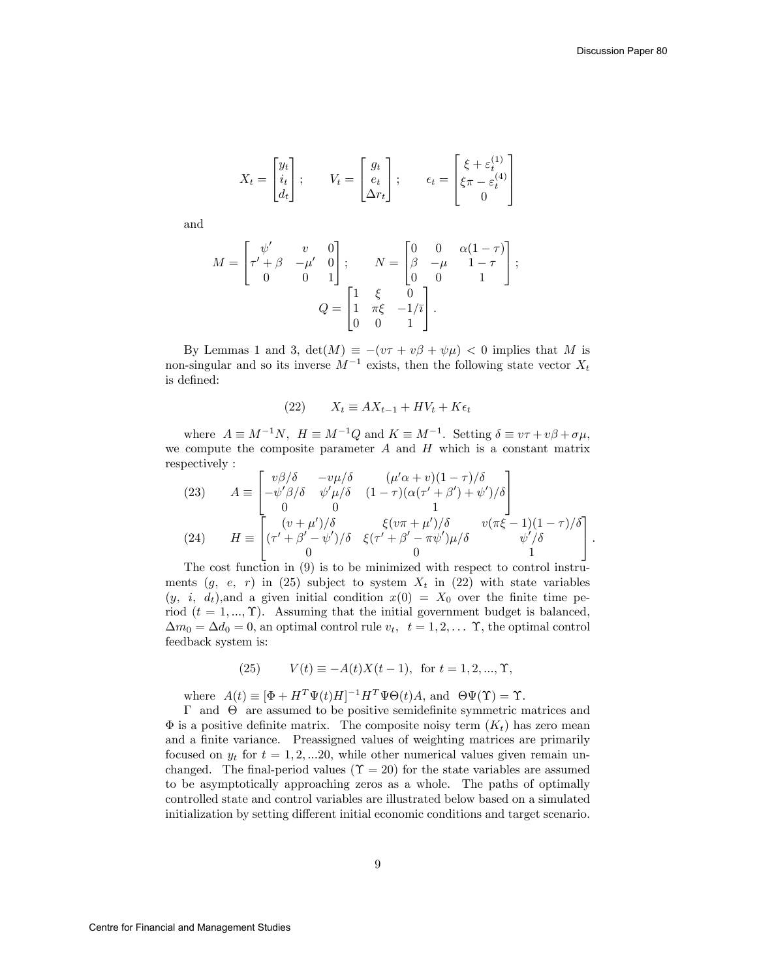$$
X_t = \begin{bmatrix} y_t \\ i_t \\ d_t \end{bmatrix}; \qquad V_t = \begin{bmatrix} g_t \\ e_t \\ \Delta r_t \end{bmatrix}; \qquad \epsilon_t = \begin{bmatrix} \xi + \varepsilon_t^{(1)} \\ \xi \pi - \varepsilon_t^{(4)} \\ 0 \end{bmatrix}
$$

and

$$
M = \begin{bmatrix} \psi' & v & 0 \\ \tau' + \beta & -\mu' & 0 \\ 0 & 0 & 1 \end{bmatrix}; \qquad N = \begin{bmatrix} 0 & 0 & \alpha(1-\tau) \\ \beta & -\mu & 1-\tau \\ 0 & 0 & 1 \end{bmatrix};
$$

$$
Q = \begin{bmatrix} 1 & \xi & 0 \\ 1 & \pi\xi & -1/\overline{\imath} \\ 0 & 0 & 1 \end{bmatrix}.
$$

By Lemmas 1 and 3,  $\det(M) \equiv -(v\tau + v\beta + \psi\mu) < 0$  implies that M is non-singular and so its inverse  $M^{-1}$  exists, then the following state vector  $X_t$ is defined:

$$
(22) \qquad X_t \equiv AX_{t-1} + HV_t + K\epsilon_t
$$

where  $A \equiv M^{-1}N$ ,  $H \equiv M^{-1}Q$  and  $K \equiv M^{-1}$ . Setting  $\delta \equiv v\tau + v\beta + \sigma\mu$ , we compute the composite parameter  $A$  and  $H$  which is a constant matrix respectively :

(23) 
$$
A \equiv \begin{bmatrix} v\beta/\delta & -v\mu/\delta & (\mu'\alpha + v)(1-\tau)/\delta \\ -\psi'\beta/\delta & \psi'\mu/\delta & (1-\tau)(\alpha(\tau'+\beta')+\psi')/\delta \\ 0 & 0 & 1 \end{bmatrix}
$$
  
(24) 
$$
H \equiv \begin{bmatrix} (v+\mu')/\delta & \xi(v\pi + \mu')/\delta & v(\pi\xi-1)(1-\tau)/\delta \\ (\tau'+\beta'-\psi')/\delta & \xi(\tau'+\beta'-\pi\psi')\mu/\delta & \psi'/\delta \\ 0 & 0 & 1 \end{bmatrix}.
$$

The cost function in (9) is to be minimized with respect to control instruments  $(g, e, r)$  in (25) subject to system  $X_t$  in (22) with state variables  $(y, i, d_t)$ , and a given initial condition  $x(0) = X_0$  over the finite time period  $(t = 1, ..., \Upsilon)$ . Assuming that the initial government budget is balanced,  $\Delta m_0 = \Delta d_0 = 0$ , an optimal control rule  $v_t$ ,  $t = 1, 2, \dots$   $\Upsilon$ , the optimal control feedback system is:

(25) 
$$
V(t) \equiv -A(t)X(t-1)
$$
, for  $t = 1, 2, ..., \Upsilon$ ,

where  $A(t) \equiv [\Phi + H^T \Psi(t) H]^{-1} H^T \Psi \Theta(t) A$ , and  $\Theta \Psi(\Upsilon) = \Upsilon$ .

 $\Gamma$  and  $\Theta$  are assumed to be positive semidefinite symmetric matrices and  $\Phi$  is a positive definite matrix. The composite noisy term  $(K_t)$  has zero mean and a finite variance. Preassigned values of weighting matrices are primarily focused on  $y_t$  for  $t = 1, 2, ... 20$ , while other numerical values given remain unchanged. The final-period values ( $\Upsilon = 20$ ) for the state variables are assumed to be asymptotically approaching zeros as a whole. The paths of optimally controlled state and control variables are illustrated below based on a simulated initialization by setting different initial economic conditions and target scenario.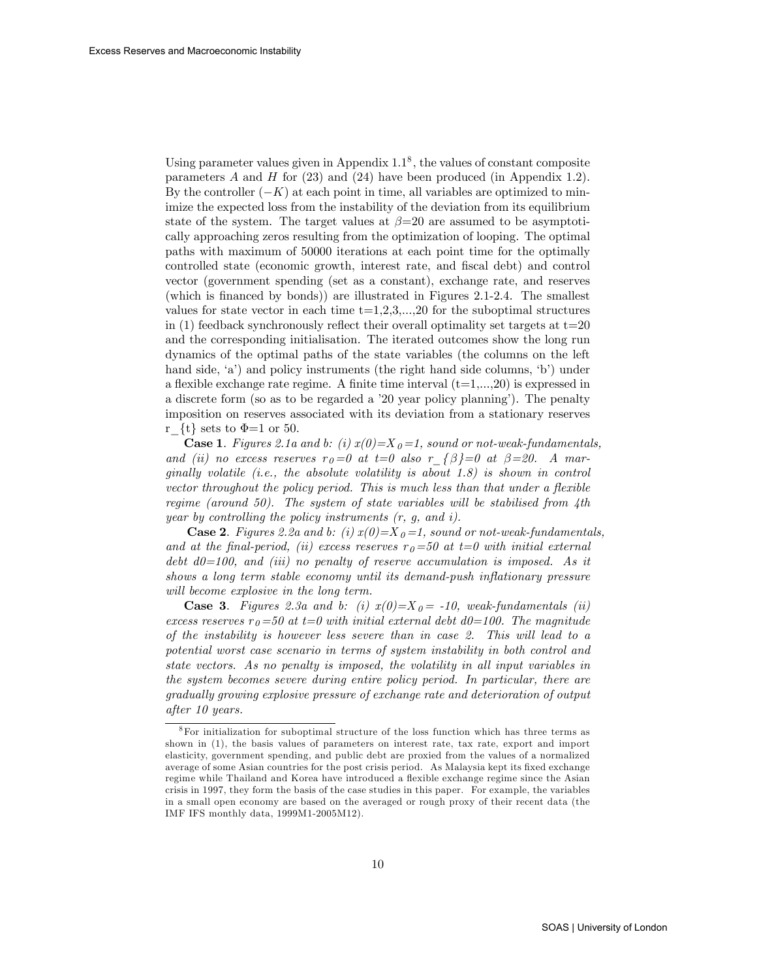Using parameter values given in Appendix  $1.1<sup>8</sup>$ , the values of constant composite parameters  $A$  and  $H$  for  $(23)$  and  $(24)$  have been produced (in Appendix 1.2). By the controller  $(-K)$  at each point in time, all variables are optimized to minimize the expected loss from the instability of the deviation from its equilibrium state of the system. The target values at  $\beta=20$  are assumed to be asymptotically approaching zeros resulting from the optimization of looping. The optimal paths with maximum of 50000 iterations at each point time for the optimally controlled state (economic growth, interest rate, and Öscal debt) and control vector (government spending (set as a constant), exchange rate, and reserves (which is financed by bonds)) are illustrated in Figures 2.1-2.4. The smallest values for state vector in each time  $t=1,2,3,...,20$  for the suboptimal structures in (1) feedback synchronously reflect their overall optimality set targets at  $t=20$ and the corresponding initialisation. The iterated outcomes show the long run dynamics of the optimal paths of the state variables (the columns on the left hand side, 'a') and policy instruments (the right hand side columns, 'b') under a flexible exchange rate regime. A finite time interval  $(t=1,...,20)$  is expressed in a discrete form (so as to be regarded a '20 year policy planning'). The penalty imposition on reserves associated with its deviation from a stationary reserves r {t} sets to  $\Phi$ =1 or 50.

**Case 1.** Figures 2.1a and b: (i)  $x(0)=X_0=1$ , sound or not-weak-fundamentals, and (ii) no excess reserves  $r_0=0$  at  $t=0$  also  $r_{\text{A}}=\beta=-1$  at  $\beta=20$ . A marginally volatile (i.e., the absolute volatility is about  $1.8$ ) is shown in control vector throughout the policy period. This is much less than that under a flexible regime (around 50). The system of state variables will be stabilised from  $4$ th year by controlling the policy instruments  $(r, g, and i)$ .

**Case 2.** Figures 2.2a and b: (i)  $x(0)=X_0=1$ , sound or not-weak-fundamentals, and at the final-period, (ii) excess reserves  $r<sub>0</sub>=50$  at  $t=0$  with initial external debt  $d0=100$ , and (iii) no penalty of reserve accumulation is imposed. As it shows a long term stable economy until its demand-push inflationary pressure will become explosive in the long term.

**Case 3.** Figures 2.3a and b: (i)  $x(0)=X_0 = -10$ , weak-fundamentals (ii) excess reserves  $r<sub>0</sub>=50$  at  $t=0$  with initial external debt  $d0=100$ . The magnitude of the instability is however less severe than in case 2. This will lead to a potential worst case scenario in terms of system instability in both control and state vectors. As no penalty is imposed, the volatility in all input variables in the system becomes severe during entire policy period. In particular, there are gradually growing explosive pressure of exchange rate and deterioration of output after 10 years.

<sup>8</sup>For initialization for suboptimal structure of the loss function which has three terms as shown in (1), the basis values of parameters on interest rate, tax rate, export and import elasticity, government spending, and public debt are proxied from the values of a normalized average of some Asian countries for the post crisis period. As Malaysia kept its fixed exchange regime while Thailand and Korea have introduced a flexible exchange regime since the Asian crisis in 1997, they form the basis of the case studies in this paper. For example, the variables in a small open economy are based on the averaged or rough proxy of their recent data (the IMF IFS monthly data, 1999M1-2005M12).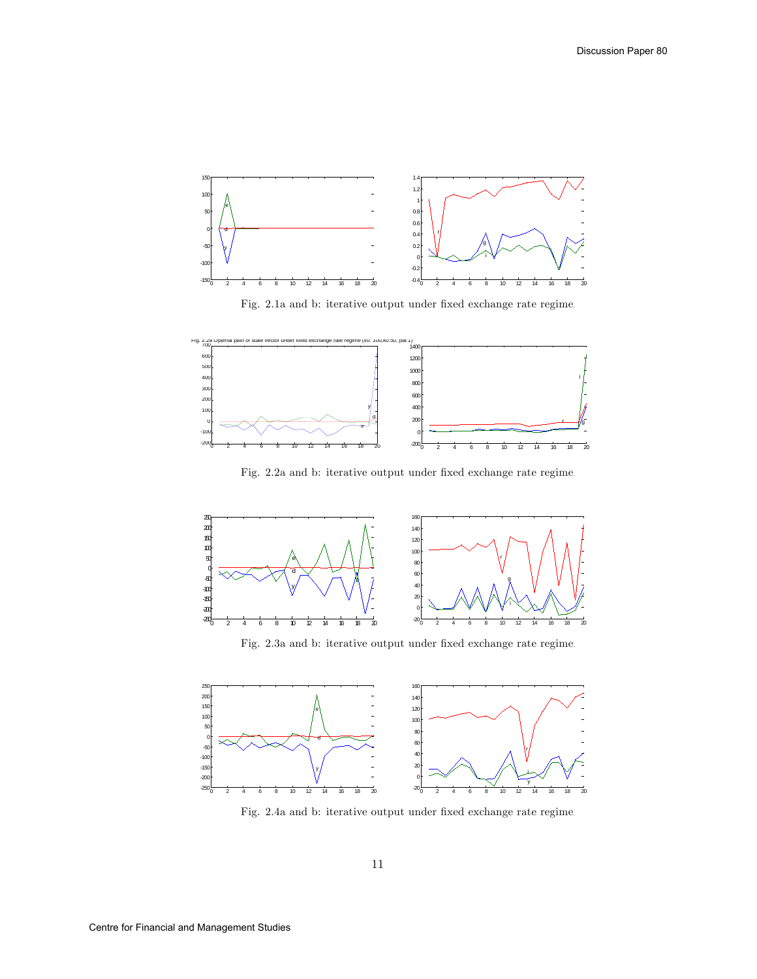

Fig. 2.1a and b: iterative output under fixed exchange rate regime.



Fig. 2.2a and b: iterative output under fixed exchange rate regime.



Fig. 2.3a and b: iterative output under fixed exchange rate regime.



Fig. 2.4a and b: iterative output under fixed exchange rate regime.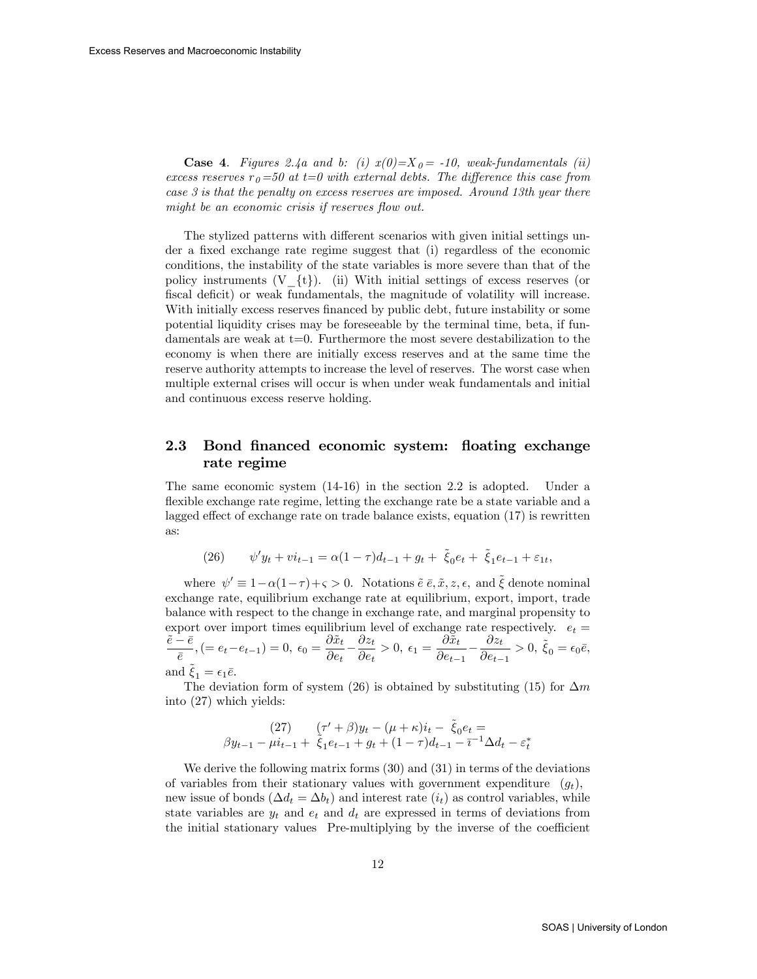**Case 4.** Figures 2.4a and b: (i)  $x(0)=X_0 = -10$ , weak-fundamentals (ii) excess reserves  $r<sub>0</sub>=50$  at t=0 with external debts. The difference this case from case 3 is that the penalty on excess reserves are imposed. Around 13th year there might be an economic crisis if reserves flow out.

The stylized patterns with different scenarios with given initial settings under a fixed exchange rate regime suggest that (i) regardless of the economic conditions, the instability of the state variables is more severe than that of the policy instruments  $(V_{\{t\}})$ . (ii) With initial settings of excess reserves (or fiscal deficit) or weak fundamentals, the magnitude of volatility will increase. With initially excess reserves financed by public debt, future instability or some potential liquidity crises may be foreseeable by the terminal time, beta, if fundamentals are weak at  $t=0$ . Furthermore the most severe destabilization to the economy is when there are initially excess reserves and at the same time the reserve authority attempts to increase the level of reserves. The worst case when multiple external crises will occur is when under weak fundamentals and initial and continuous excess reserve holding.

## 2.3 Bond financed economic system: floating exchange rate regime

The same economic system (14-16) in the section 2.2 is adopted. Under a flexible exchange rate regime, letting the exchange rate be a state variable and a lagged effect of exchange rate on trade balance exists, equation  $(17)$  is rewritten as:

(26) 
$$
\psi' y_t + v i_{t-1} = \alpha (1 - \tau) d_{t-1} + g_t + \tilde{\xi}_0 e_t + \tilde{\xi}_1 e_{t-1} + \varepsilon_{1t},
$$

where  $\psi' \equiv 1-\alpha(1-\tau)+\varsigma > 0$ . Notations  $\tilde{e} \bar{e}, \tilde{x}, z, \epsilon$ , and  $\tilde{\xi}$  denote nominal exchange rate, equilibrium exchange rate at equilibrium, export, import, trade balance with respect to the change in exchange rate, and marginal propensity to export over import times equilibrium level of exchange rate respectively.  $e_t =$  $\frac{\tilde{e}-\bar{e}}{2}$  $\frac{\overline{e}}{\overline{e}},(=e_t-e_{t-1})=0, \ \epsilon_0=\frac{\partial \widetilde{x}_t}{\partial e_t}$  $\overline{\partial e_t}$  –  $\partial z_t$  $\frac{\partial z_t}{\partial e_t} > 0, \ \epsilon_1 = \frac{\partial \tilde{x}_t}{\partial e_{t-}}$  $\overline{\partial e_{t-1}}$  $\partial z_t$  $\frac{\partial z_t}{\partial e_{t-1}} > 0, \ \tilde{\xi}_0 = \epsilon_0 \bar{e},$ and  $\ddot{\xi}_1 = \epsilon_1 \bar{e}$ .

The deviation form of system (26) is obtained by substituting (15) for  $\Delta m$ into (27) which yields:

$$
(27) \qquad (\tau' + \beta)y_t - (\mu + \kappa)i_t - \tilde{\xi}_0 e_t =
$$
  

$$
\beta y_{t-1} - \mu i_{t-1} + \tilde{\xi}_1 e_{t-1} + g_t + (1 - \tau)d_{t-1} - \bar{\tau}^{-1} \Delta d_t - \varepsilon_t^*
$$

We derive the following matrix forms (30) and (31) in terms of the deviations of variables from their stationary values with government expenditure  $(q_t)$ , new issue of bonds  $(\Delta d_t = \Delta b_t)$  and interest rate  $(i_t)$  as control variables, while state variables are  $y_t$  and  $e_t$  and  $d_t$  are expressed in terms of deviations from the initial stationary values Pre-multiplying by the inverse of the coefficient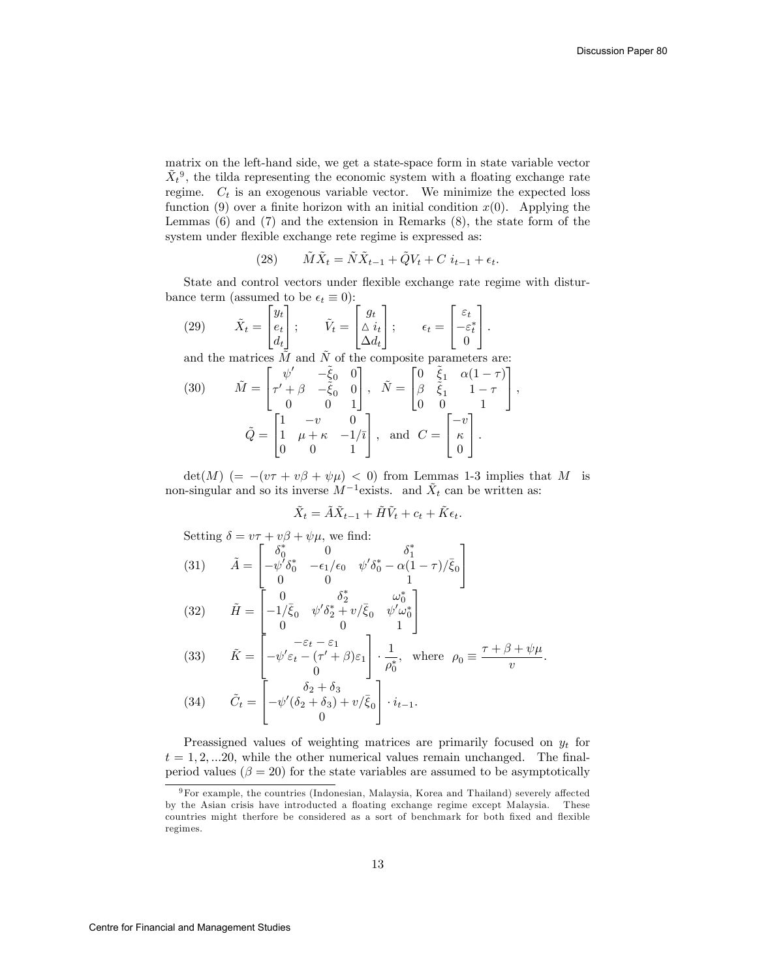matrix on the left-hand side, we get a state-space form in state variable vector  $\tilde{X}_t^{\,9}$ , the tilda representing the economic system with a floating exchange rate regime.  $C_t$  is an exogenous variable vector. We minimize the expected loss function (9) over a finite horizon with an initial condition  $x(0)$ . Applying the Lemmas (6) and (7) and the extension in Remarks (8), the state form of the system under flexible exchange rete regime is expressed as:

(28) 
$$
\tilde{M}\tilde{X}_t = \tilde{N}\tilde{X}_{t-1} + \tilde{Q}V_t + C i_{t-1} + \epsilon_t.
$$

State and control vectors under flexible exchange rate regime with disturbance term (assumed to be  $\epsilon_t \equiv 0$ ):<br> $\begin{bmatrix} u_t \end{bmatrix}$ 3

(29) 
$$
\tilde{X}_t = \begin{bmatrix} y_t \\ e_t \\ d_t \end{bmatrix}; \qquad \tilde{V}_t = \begin{bmatrix} g_t \\ \Delta i_t \\ \Delta d_t \end{bmatrix}; \qquad \epsilon_t = \begin{bmatrix} \varepsilon_t \\ -\varepsilon_t^* \\ 0 \end{bmatrix}.
$$

and the matrices  $\tilde{M}$  and  $\tilde{N}$  of the composite parameters are:

(30) 
$$
\tilde{M} = \begin{bmatrix} \psi' & -\tilde{\xi}_0 & 0 \\ \tau' + \beta & -\tilde{\xi}_0 & 0 \\ 0 & 0 & 1 \end{bmatrix}, \quad \tilde{N} = \begin{bmatrix} 0 & \tilde{\xi}_1 & \alpha(1-\tau) \\ \beta & \tilde{\xi}_1 & 1-\tau \\ 0 & 0 & 1 \end{bmatrix},
$$

$$
\tilde{Q} = \begin{bmatrix} 1 & -v & 0 \\ 1 & \mu + \kappa & -1/\bar{\imath} \\ 0 & 0 & 1 \end{bmatrix}, \text{ and } C = \begin{bmatrix} -v \\ \kappa \\ 0 \end{bmatrix}.
$$

 $\det(M)$  (=  $-(v\tau + v\beta + \psi\mu) < 0$ ) from Lemmas 1-3 implies that M is non-singular and so its inverse  $M^{-1}$  exists. and  $\tilde{X}_t$  can be written as:

$$
\tilde{X}_t = \tilde{A}\tilde{X}_{t-1} + \tilde{H}\tilde{V}_t + c_t + \tilde{K}\epsilon_t.
$$

Setting  $\delta = v\tau + v\beta + \psi\mu$ , we find:

(31) 
$$
\tilde{A} = \begin{bmatrix} \delta_0^* & 0 & \delta_1^* \\ -\psi'\delta_0^* & -\epsilon_1/\epsilon_0 & \psi'\delta_0^* - \alpha(1-\tau)/\bar{\xi}_0 \\ 0 & 0 & 1 \end{bmatrix}
$$
  
\n(32) 
$$
\tilde{H} = \begin{bmatrix} 0 & \delta_2^* & \omega_0^* \\ -1/\bar{\xi}_0 & \psi'\delta_2^* + \nu/\bar{\xi}_0 & \psi'\omega_0^* \\ 0 & 0 & 1 \end{bmatrix}
$$
  
\n(33) 
$$
\tilde{K} = \begin{bmatrix} -\epsilon_t - \epsilon_1 \\ -\psi'\epsilon_t - (\tau' + \beta)\epsilon_1 \\ 0 \end{bmatrix} \cdot \frac{1}{\rho_0^*}, \text{ where } \rho_0 \equiv \frac{\tau + \beta + \psi\mu}{v}.
$$
  
\n(34) 
$$
\tilde{C}_t = \begin{bmatrix} \delta_2 + \delta_3 \\ -\psi'(\delta_2 + \delta_3) + \nu/\bar{\xi}_0 \\ 0 \end{bmatrix} \cdot i_{t-1}.
$$

Preassigned values of weighting matrices are primarily focused on  $y_t$  for  $t = 1, 2, \ldots, 20$ , while the other numerical values remain unchanged. The finalperiod values ( $\beta = 20$ ) for the state variables are assumed to be asymptotically

 $9$ For example, the countries (Indonesian, Malaysia, Korea and Thailand) severely affected by the Asian crisis have introducted a floating exchange regime except Malaysia. These countries might therfore be considered as a sort of benchmark for both fixed and flexible regimes.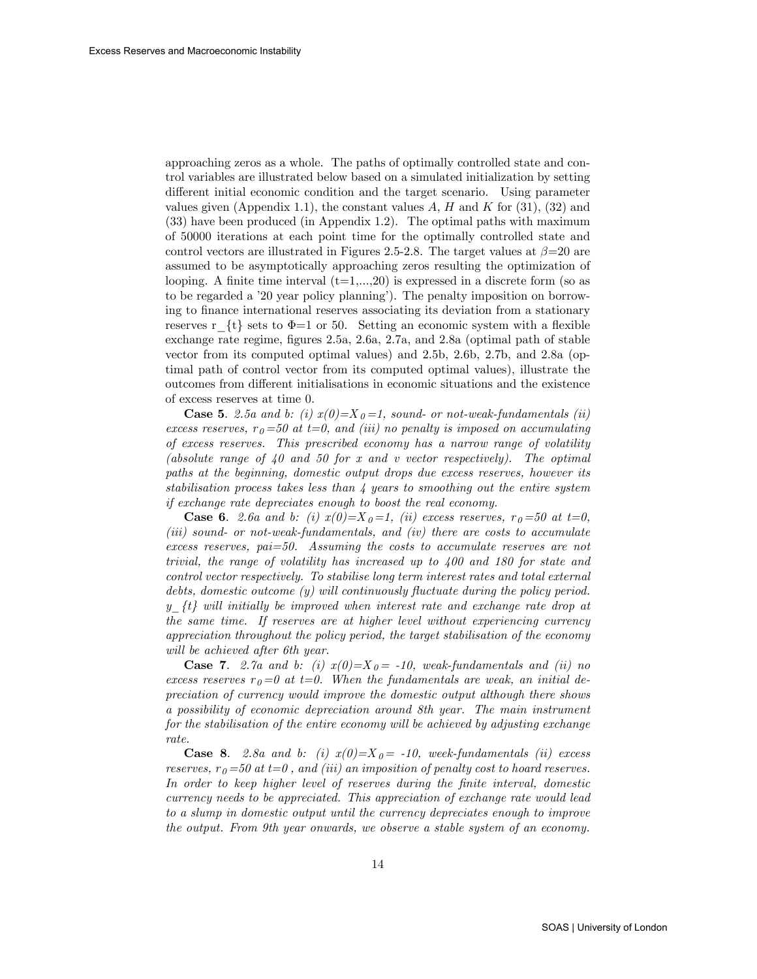approaching zeros as a whole. The paths of optimally controlled state and control variables are illustrated below based on a simulated initialization by setting different initial economic condition and the target scenario. Using parameter values given (Appendix 1.1), the constant values  $A, H$  and  $K$  for (31), (32) and (33) have been produced (in Appendix 1.2). The optimal paths with maximum of 50000 iterations at each point time for the optimally controlled state and control vectors are illustrated in Figures 2.5-2.8. The target values at  $\beta$ =20 are assumed to be asymptotically approaching zeros resulting the optimization of looping. A finite time interval  $(t=1,...,20)$  is expressed in a discrete form (so as to be regarded a '20 year policy planning'). The penalty imposition on borrowing to Önance international reserves associating its deviation from a stationary reserves r  $\{t\}$  sets to  $\Phi=1$  or 50. Setting an economic system with a flexible exchange rate regime, figures 2.5a, 2.6a, 2.7a, and 2.8a (optimal path of stable vector from its computed optimal values) and 2.5b, 2.6b, 2.7b, and 2.8a (optimal path of control vector from its computed optimal values), illustrate the outcomes from different initialisations in economic situations and the existence of excess reserves at time 0.

**Case 5.** 2.5a and b: (i)  $x(0)=X_0=1$ , sound- or not-weak-fundamentals (ii) excess reserves,  $r_0 = 50$  at  $t = 0$ , and (iii) no penalty is imposed on accumulating of excess reserves. This prescribed economy has a narrow range of volatility (absolute range of  $40$  and  $50$  for x and v vector respectively). The optimal paths at the beginning, domestic output drops due excess reserves, however its stabilisation process takes less than 4 years to smoothing out the entire system if exchange rate depreciates enough to boost the real economy.

**Case 6.** 2.6a and b: (i)  $x(0)=X_0=1$ , (ii) excess reserves,  $r_0=50$  at  $t=0$ , (iii) sound- or not-weak-fundamentals, and (iv) there are costs to accumulate excess reserves, pai=50. Assuming the costs to accumulate reserves are not trivial, the range of volatility has increased up to 400 and 180 for state and control vector respectively. To stabilise long term interest rates and total external debts, domestic outcome  $(y)$  will continuously fluctuate during the policy period.  $y \{t\}$  will initially be improved when interest rate and exchange rate drop at the same time. If reserves are at higher level without experiencing currency appreciation throughout the policy period, the target stabilisation of the economy will be achieved after 6th year.

**Case 7.** 2.7a and b: (i)  $x(0)=X_0 = -10$ , weak-fundamentals and (ii) no excess reserves  $r_{0}=0$  at  $t=0$ . When the fundamentals are weak, an initial depreciation of currency would improve the domestic output although there shows a possibility of economic depreciation around 8th year. The main instrument for the stabilisation of the entire economy will be achieved by adjusting exchange rate.

**Case 8.** 2.8a and b: (i)  $x(0)=X_0 = -10$ , week-fundamentals (ii) excess reserves,  $r_{0} = 50$  at  $t = 0$ , and (iii) an imposition of penalty cost to hoard reserves. In order to keep higher level of reserves during the finite interval, domestic currency needs to be appreciated. This appreciation of exchange rate would lead to a slump in domestic output until the currency depreciates enough to improve the output. From 9th year onwards, we observe a stable system of an economy.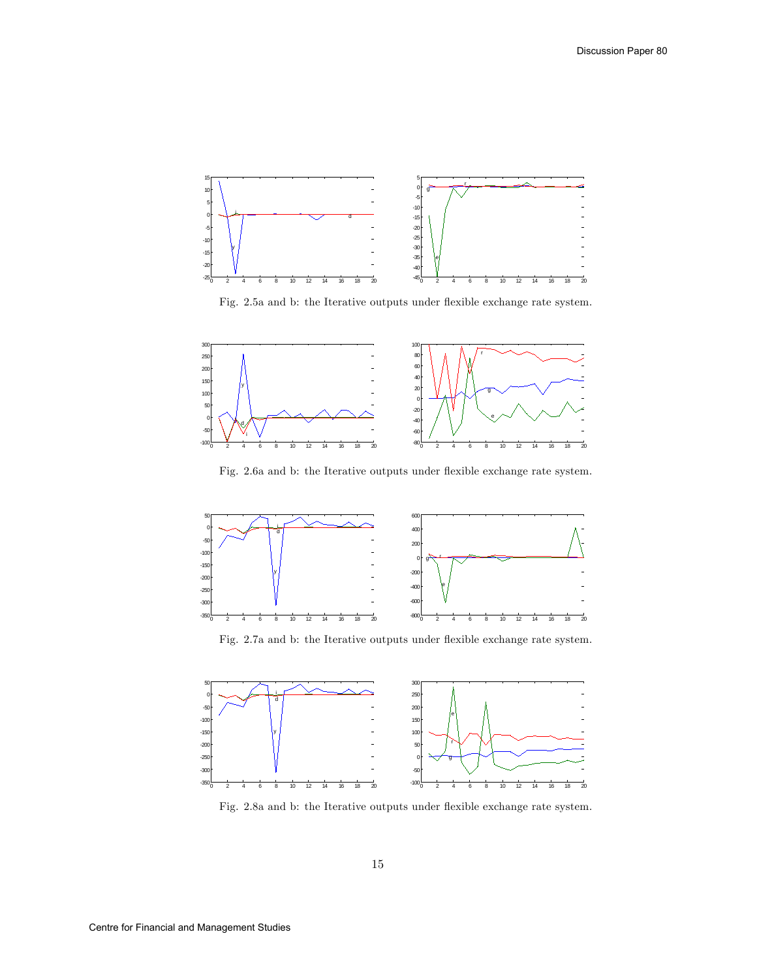

Fig. 2.5a and b: the Iterative outputs under flexible exchange rate system.



Fig. 2.6a and b: the Iterative outputs under flexible exchange rate system.



Fig. 2.7a and b: the Iterative outputs under flexible exchange rate system.



Fig. 2.8a and b: the Iterative outputs under flexible exchange rate system.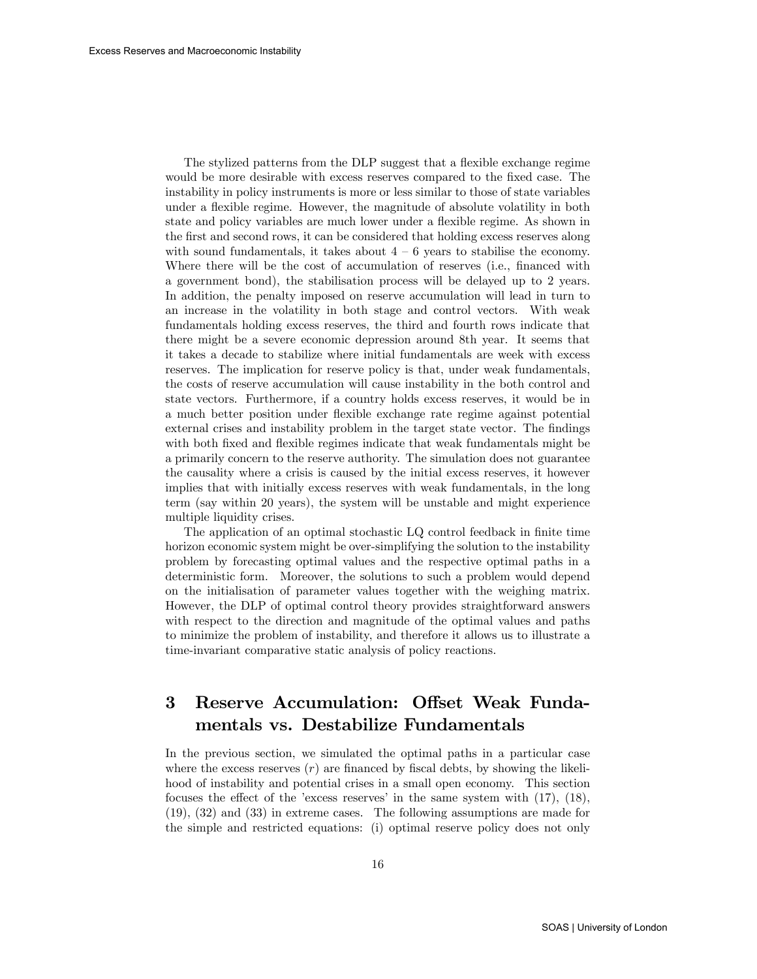The stylized patterns from the DLP suggest that a flexible exchange regime would be more desirable with excess reserves compared to the fixed case. The instability in policy instruments is more or less similar to those of state variables under a flexible regime. However, the magnitude of absolute volatility in both state and policy variables are much lower under a áexible regime. As shown in the first and second rows, it can be considered that holding excess reserves along with sound fundamentals, it takes about  $4 - 6$  years to stabilise the economy. Where there will be the cost of accumulation of reserves (i.e., financed with a government bond), the stabilisation process will be delayed up to 2 years. In addition, the penalty imposed on reserve accumulation will lead in turn to an increase in the volatility in both stage and control vectors. With weak fundamentals holding excess reserves, the third and fourth rows indicate that there might be a severe economic depression around 8th year. It seems that it takes a decade to stabilize where initial fundamentals are week with excess reserves. The implication for reserve policy is that, under weak fundamentals, the costs of reserve accumulation will cause instability in the both control and state vectors. Furthermore, if a country holds excess reserves, it would be in a much better position under áexible exchange rate regime against potential external crises and instability problem in the target state vector. The findings with both fixed and flexible regimes indicate that weak fundamentals might be a primarily concern to the reserve authority. The simulation does not guarantee the causality where a crisis is caused by the initial excess reserves, it however implies that with initially excess reserves with weak fundamentals, in the long term (say within 20 years), the system will be unstable and might experience multiple liquidity crises.

The application of an optimal stochastic LQ control feedback in finite time horizon economic system might be over-simplifying the solution to the instability problem by forecasting optimal values and the respective optimal paths in a deterministic form. Moreover, the solutions to such a problem would depend on the initialisation of parameter values together with the weighing matrix. However, the DLP of optimal control theory provides straightforward answers with respect to the direction and magnitude of the optimal values and paths to minimize the problem of instability, and therefore it allows us to illustrate a time-invariant comparative static analysis of policy reactions.

# 3 Reserve Accumulation: Offset Weak Fundamentals vs. Destabilize Fundamentals

In the previous section, we simulated the optimal paths in a particular case where the excess reserves  $(r)$  are financed by fiscal debts, by showing the likelihood of instability and potential crises in a small open economy. This section focuses the effect of the 'excess reserves' in the same system with  $(17)$ ,  $(18)$ , (19), (32) and (33) in extreme cases. The following assumptions are made for the simple and restricted equations: (i) optimal reserve policy does not only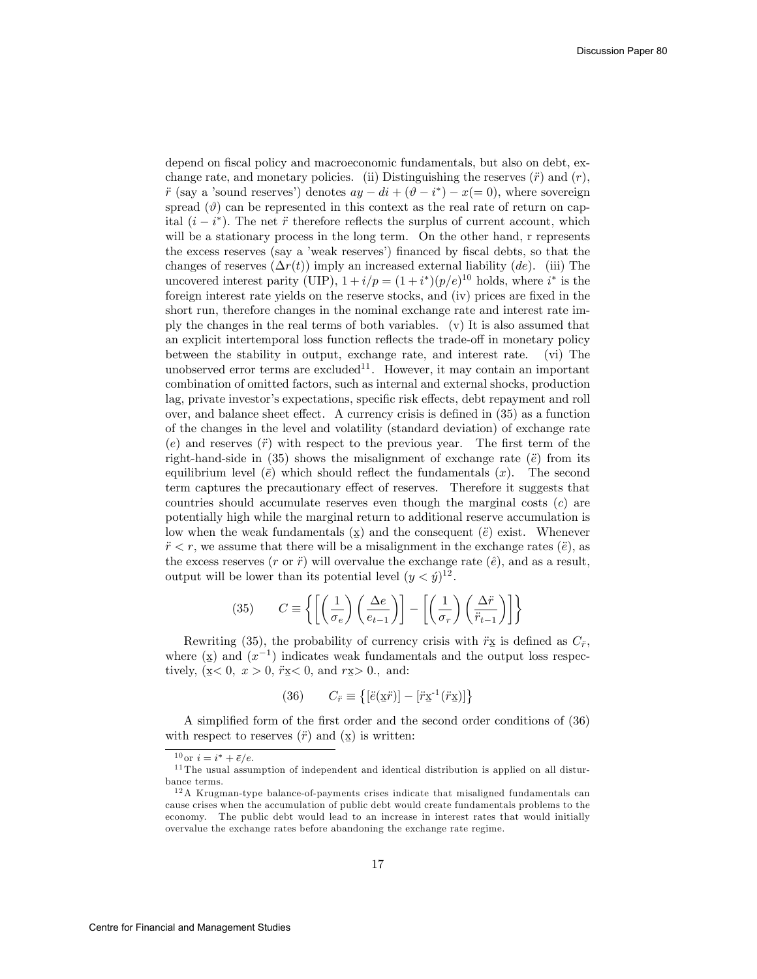depend on fiscal policy and macroeconomic fundamentals, but also on debt, exchange rate, and monetary policies. (ii) Distinguishing the reserves  $(\ddot{r})$  and  $(r)$ ,  $\ddot{r}$  (say a 'sound reserves') denotes  $ay - di + (\vartheta - i^*) - x (= 0)$ , where sovereign spread  $(\vartheta)$  can be represented in this context as the real rate of return on capital  $(i - i^*)$ . The net  $\ddot{r}$  therefore reflects the surplus of current account, which will be a stationary process in the long term. On the other hand, r represents the excess reserves (say a 'weak reserves') financed by fiscal debts, so that the changes of reserves  $(\Delta r(t))$  imply an increased external liability (de). (iii) The uncovered interest parity (UIP),  $1 + i/p = (1 + i^*)(p/e)^{10}$  holds, where  $i^*$  is the foreign interest rate yields on the reserve stocks, and (iv) prices are fixed in the short run, therefore changes in the nominal exchange rate and interest rate imply the changes in the real terms of both variables. (v) It is also assumed that an explicit intertemporal loss function reflects the trade-off in monetary policy between the stability in output, exchange rate, and interest rate. (vi) The unobserved error terms are excluded<sup>11</sup>. However, it may contain an important combination of omitted factors, such as internal and external shocks, production lag, private investor's expectations, specific risk effects, debt repayment and roll over, and balance sheet effect. A currency crisis is defined in  $(35)$  as a function of the changes in the level and volatility (standard deviation) of exchange rate  $(e)$  and reserves  $(\ddot{r})$  with respect to the previous year. The first term of the right-hand-side in  $(35)$  shows the misalignment of exchange rate  $(\ddot{e})$  from its equilibrium level  $(\bar{e})$  which should reflect the fundamentals  $(x)$ . The second term captures the precautionary effect of reserves. Therefore it suggests that countries should accumulate reserves even though the marginal costs  $(c)$  are potentially high while the marginal return to additional reserve accumulation is low when the weak fundamentals  $(\underline{x})$  and the consequent  $(\ddot{e})$  exist. Whenever  $r < r$ , we assume that there will be a misalignment in the exchange rates (*e*), as the excess reserves  $(r \text{ or } \ddot{r})$  will overvalue the exchange rate  $(\hat{e})$ , and as a result, output will be lower than its potential level  $(y < \hat{y})^{12}$ .

(35) 
$$
C \equiv \left\{ \left[ \left( \frac{1}{\sigma_e} \right) \left( \frac{\Delta e}{e_{t-1}} \right) \right] - \left[ \left( \frac{1}{\sigma_r} \right) \left( \frac{\Delta \ddot{r}}{\ddot{r}_{t-1}} \right) \right] \right\}
$$

Rewriting (35), the probability of currency crisis with  $\ddot{r}$ <sub>x</sub> is defined as  $C_{\ddot{r}}$ , where  $(\underline{x})$  and  $(x^{-1})$  indicates weak fundamentals and the output loss respecwhere  $\left(\frac{u}{2}\right)$  and  $\left(\frac{u}{2}\right)$  matedies weak randaments.

(36) 
$$
C_{\ddot{r}} \equiv \{ [\ddot{e}(\underline{x}\ddot{r})] - [\ddot{r}\underline{x}^{-1}(\ddot{r}\underline{x})] \}
$$

A simplified form of the first order and the second order conditions of (36) with respect to reserves  $(\ddot{r})$  and  $(\underline{x})$  is written:

<sup>&</sup>lt;sup>10</sup> or  $i = i^* + \bar{e}/e$ .

 $11$  The usual assumption of independent and identical distribution is applied on all disturbance terms.

 $12A$  Krugman-type balance-of-payments crises indicate that misaligned fundamentals can cause crises when the accumulation of public debt would create fundamentals problems to the economy. The public debt would lead to an increase in interest rates that would initially overvalue the exchange rates before abandoning the exchange rate regime.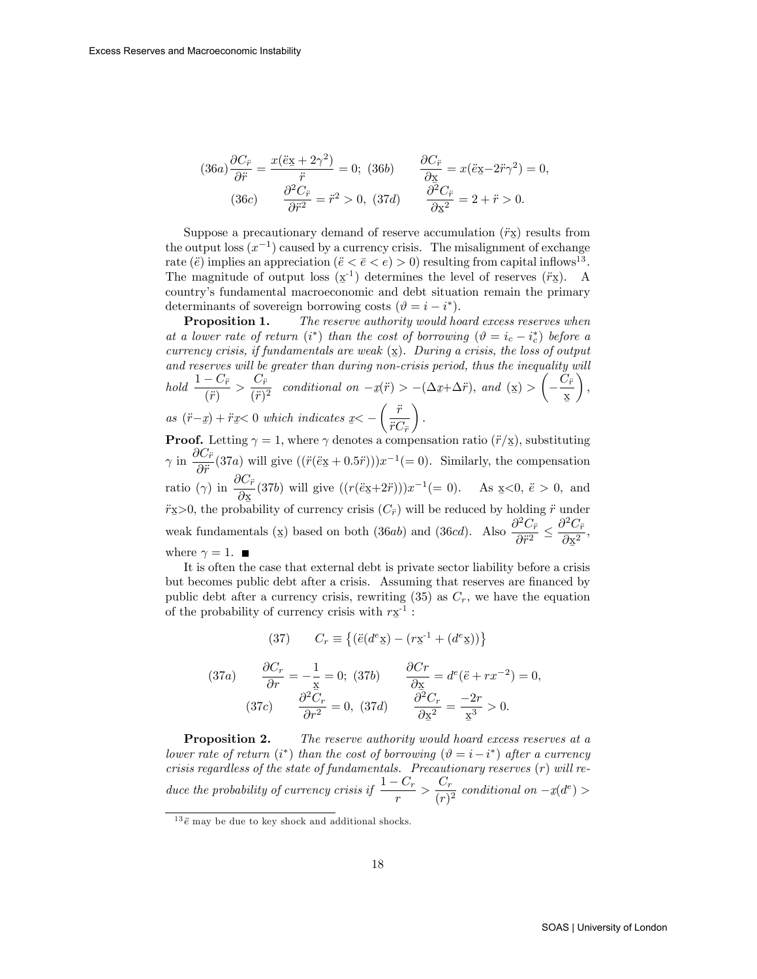$$
(36a)\frac{\partial C_{\ddot{r}}}{\partial \ddot{r}} = \frac{x(\ddot{e}_{\frac{x}{2}} + 2\gamma^{2})}{\ddot{r}} = 0; \ (36b) \qquad \frac{\partial C_{\ddot{r}}}{\partial x} = x(\ddot{e}_{\frac{x}{2}} - 2\ddot{r}\gamma^{2}) = 0, (36c) \qquad \frac{\partial^{2} C_{\ddot{r}}}{\partial \ddot{r}^{2}} = \ddot{r}^{2} > 0, \ (37d) \qquad \frac{\partial^{2} C_{\ddot{r}}}{\partial x^{2}} = 2 + \ddot{r} > 0.
$$

Suppose a precautionary demand of reserve accumulation  $(\ddot{r} \underline{x})$  results from  $\mathbb{Z}_p$  output loss  $(x^{-1})$  caused by a currency crisis. The misalignment of exchange rate ( $\ddot{e}$ ) implies an appreciation ( $\ddot{e} < \bar{e} < e$ ) > 0) resulting from capital inflows<sup>13</sup>. The magnitude of output loss  $(\underline{x}^{-1})$  determines the level of reserves  $(\ddot{r}\underline{x})$ . A country's fundamental macroeconomic and debt situation remain the primary determinants of sovereign borrowing costs  $(\vartheta = i - i^*)$ .

**Proposition 1.** The reserve authority would hoard excess reserves when at a lower rate of return  $(i^*)$  than the cost of borrowing  $(\vartheta = i_c - i_c^*)$  before a currency crisis, if fundamentals are weak  $(\underline{x})$ . During a crisis, the loss of output and reserves will be greater than during non-crisis period, thus the inequality will and reserves will be greater than during non-crisis period, thus the inequality will  $hold \frac{1 - C_{\ddot{r}}}{(\ddot{r})} > \frac{C_{\ddot{r}}}{(\ddot{r})^2}$  $\frac{\partial^2 F}{\partial (\vec{r})^2}$  conditional on  $-\underline{x}(\vec{r}) > -(\Delta \underline{x} + \Delta \vec{r}),$  and  $(\underline{x}) >$  $\sqrt{ }$ Ξ  $C_{\ddot{r}}$ x Ø  $\setminus$ ; as  $(\ddot{r} - \underline{x}) + \ddot{r}\underline{x} < 0$  which indicates  $\underline{x} < \int \ddot{r}$  $\ddot{r}C_{\ddot{r}}$  $\overline{ }$ :

**Proof.** Letting  $\gamma = 1$ , where  $\gamma$  denotes a compensation ratio  $(\ddot{r}/\mathbf{x})$ , substituting Ø  $\gamma$  in  $\frac{\partial C_{\ddot{r}}}{\partial \ddot{r}}$  $\frac{\partial \mathbf{C}_{\vec{r}}}{\partial \vec{r}}$ (37a) will give  $((\vec{r}(\vec{e} \times \vec{r} + 0.5\vec{r})))x^{-1}(=0)$ . Similarly, the compensation ratio  $(\gamma)$  in  $\frac{\partial C_{\ddot{r}}}{\partial}$  $\frac{\partial \mathbf{C}_r}{\partial \mathbf{x}}$  (37b) will give  $((r(\ddot{e}\mathbf{x}+2\ddot{r})))x^{-1}(=0)$ . As  $\mathbf{x}<0, \ \ddot{e}>0$ , and  $\widetilde{r}$ **E**  $\widetilde{r}$  is  $\widetilde{r}$  of currency crisis  $(C_{\widetilde{r}})$  will be reduced by holding  $\widetilde{r}$  under Ø weak fundamentals (x) based on both (36*ab*) and (36*cd*). Also  $\frac{\partial^2 C_{\ddot{r}}}{\partial \ddot{r}^2}$  $\overline{\partial\ddot{r}^2}$   $\geq$  $\partial^2 C_{\ddot{r}}$  $\partial x^2$ Ø ; where  $\gamma = 1$ .

It is often the case that external debt is private sector liability before a crisis but becomes public debt after a crisis. Assuming that reserves are financed by public debt after a currency crisis, rewriting  $(35)$  as  $C_r$ , we have the equation of the probability of currency crisis with  $r\underline{\mathbf{x}}^{-1}$ :

(37) 
$$
C_r \equiv \{ (\ddot{e}(d^e \underline{x}) - (r\underline{x}^{-1} + (d^e \underline{x})) \}
$$

(37*a*) 
$$
\frac{\partial C_r}{\partial r} = -\frac{1}{\underline{x}} = 0; \ (37b) \qquad \frac{\partial Cr}{\partial \underline{x}} = d^e(\ddot{e} + rx^{-2}) = 0,
$$

$$
(37c) \qquad \frac{\partial^2 C_r}{\partial r^2} = 0, \ (37d) \qquad \frac{\partial^2 C_r}{\partial \underline{x}^2} = \frac{-2r}{\underline{x}^3} > 0.
$$

**Proposition 2.** The reserve authority would hoard excess reserves at a lower rate of return  $(i^*)$  than the cost of borrowing  $(\vartheta = i - i^*)$  after a currency crisis regardless of the state of fundamentals. Precautionary reserves  $(r)$  will reduce the probability of currency crisis if  $\frac{1-C_r}{r} > \frac{C_r}{(r)}$  $\frac{C_r}{(r)^2}$  conditional on  $-\underline{x}(d^e)$ 

 $13 \ddot{e}$  may be due to key shock and additional shocks.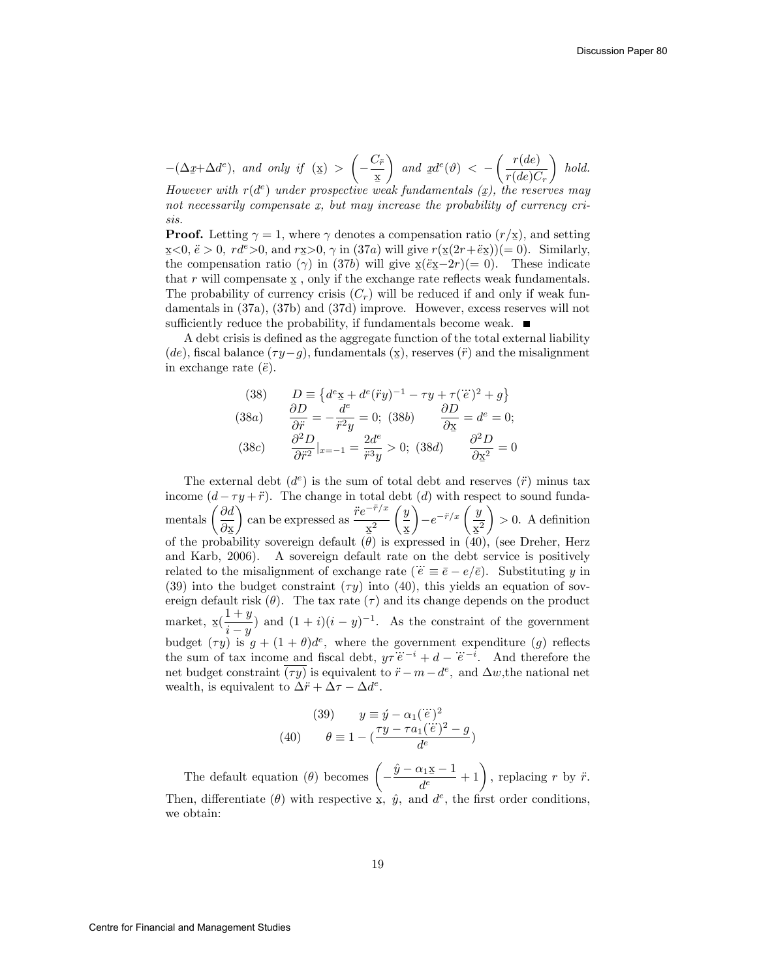$$
-(\Delta x + \Delta d^e), \text{ and only if } (\mathbf{x}) > \left(-\frac{C_{\ddot{r}}}{\mathbf{x}}\right) \text{ and } \mathbf{x}d^e(\vartheta) < -\left(\frac{r(de)}{r(de)C_r}\right) \text{ hold.}
$$
  
However with  $r(d^e)$  under prospective weak fundamentals  $(\mathbf{x})$ , the reserves may

not necessarily compensate  $\underline{x}$ , but may increase the probability of currency cri-<br>sie sis.

**Proof.** Letting  $\gamma = 1$ , where  $\gamma$  denotes a compensation ratio  $(r/\mathbf{x})$ , and setting  $\overline{x}$  <0,  $\overline{e}$  > 0,  $rd^e > 0$ , and  $r\overline{x} > 0$ ,  $\gamma$  in (37a) will give  $r(\overline{x}(2r+\tilde{e}\overline{x}))=0$ . Similarly, the compensation ratio ( $\gamma$ ) in (37b) will give  $x(e^{2x-2r})(=0)$ . These indicate that r will compensate  $\underline{x}$ , only if the exchange rate reflects weak fundamentals. The probability of currency crisis  $(C_r)$  will be reduced if and only if weak fundamentals in (37a), (37b) and (37d) improve. However, excess reserves will not sufficiently reduce the probability, if fundamentals become weak.  $\blacksquare$ 

A debt crisis is defined as the aggregate function of the total external liability (de), fiscal balance  $(\tau y - g)$ , fundamentals  $(\mathbf{x})$ , reserves  $(\ddot{r})$  and the misalignment<br>in oxchange rate  $(\ddot{a})$ in exchange rate  $(\ddot{e})$ .

(38) 
$$
D \equiv \{d^e \underline{x} + d^e(\ddot{r}y)^{-1} - \tau y + \tau(\dddot{e})^2 + g\}
$$
  
\n(38a) 
$$
\frac{\partial D}{\partial \ddot{r}} = -\frac{d^e}{\ddot{r}^2 y} = 0; \quad (38b) \qquad \frac{\partial D}{\partial \underline{x}} = d^e = 0;
$$
  
\n(38c) 
$$
\frac{\partial^2 D}{\partial \ddot{r}^2}|_{x=-1} = \frac{2d^e}{\ddot{r}^3 y} > 0; \quad (38d) \qquad \frac{\partial^2 D}{\partial \underline{x}^2} = 0
$$

The external debt  $(d^e)$  is the sum of total debt and reserves  $(\ddot{r})$  minus tax income  $(d - \tau y + \ddot{r})$ . The change in total debt (d) with respect to sound fundamentals  $\int \frac{\partial d}{\partial x}$ ∂x<br>bal ) can be expressed as  $\frac{\ddot{r}e^{-\ddot{r}/x}}{2}$  $rac{\mathbf{x}^2}{\theta}$  $\int y$ x Ø  $\overline{ }$  $-e^{-\ddot{r}/x} \left(\frac{y}{x^2}\right)$  $\frac{x^2}{10}$  $\overline{ }$  $> 0.$  A definition of the probability sovereign default  $(\theta)$  is expressed in (40), (see Dreher, Herz and Karb, 2006). A sovereign default rate on the debt service is positively related to the misalignment of exchange rate  $(\ddot{e} \equiv \bar{e} - e/\bar{e})$ . Substituting y in (39) into the budget constraint  $(\tau y)$  into (40), this yields an equation of sovereign default risk  $(\theta)$ . The tax rate  $(\tau)$  and its change depends on the product market,  $\underline{\mathbf{x}}\left(\frac{1+y}{i-y}\right)$  $\frac{i+y}{i-y}$  and  $(1+i)(i-y)^{-1}$ . As the constraint of the government budget  $(\tau y)$  is  $g + (1 + \theta)d^e$ , where the government expenditure  $(g)$  reflects the sum of tax income and fiscal debt,  $y\tau e^{-i} + d - e^{-i}$ . And therefore the net budget constraint  $\overline{(ry)}$  is equivalent to  $\ddot{r} - m - d^e$ , and  $\Delta w$ , the national net wealth, is equivalent to  $\Delta \ddot{r} + \Delta \tau - \Delta d^e$ .

(39) 
$$
y \equiv \acute{y} - \alpha_1 (\dddot{e})^2
$$

$$
\theta \equiv 1 - (\frac{\tau y - \tau a_1 (\dddot{e})^2 - g}{d^e})
$$

The default equation ( $\theta$ ) becomes  $\left(-\frac{\hat{y} - \alpha_1 \times -1}{d^e}\right)$  $\frac{\alpha_1 \underline{x} - 1}{d^e} + 1$ , replacing r by  $\ddot{r}$ . Then, differentiate ( $\theta$ ) with respective x,  $\hat{y}$ , and  $d^e$ , the first order conditions, we obtain: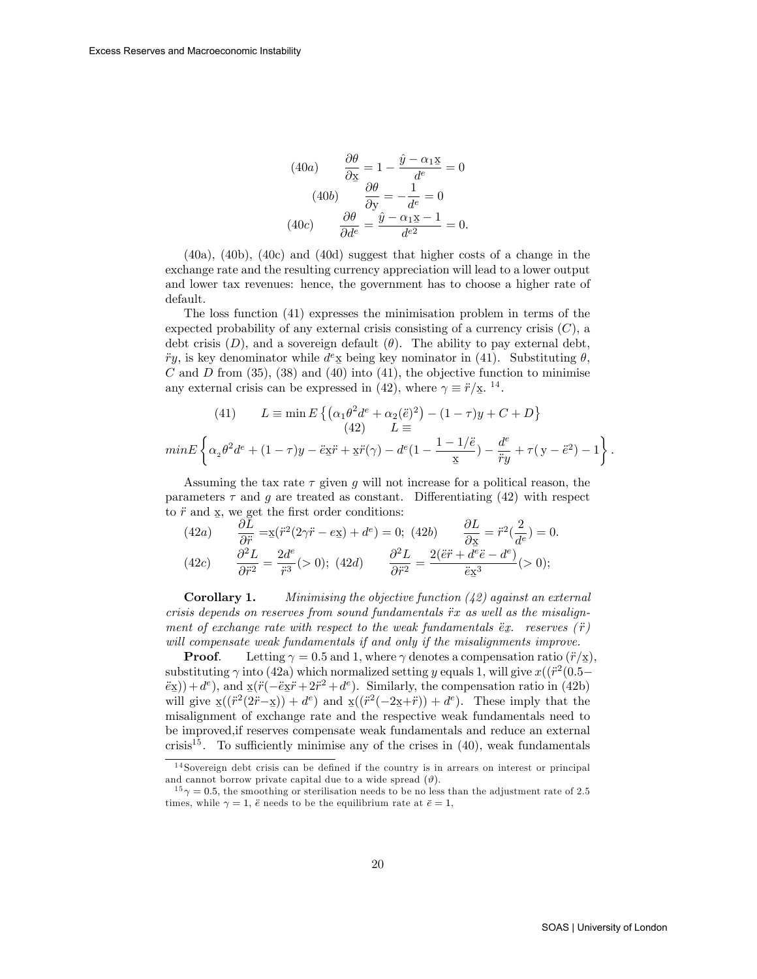(40*a*) 
$$
\frac{\partial \theta}{\partial \underline{\mathbf{x}}} = 1 - \frac{\hat{y} - \alpha_1 \underline{\mathbf{x}}}{d^e} = 0
$$

$$
(40b) \qquad \frac{\partial \theta}{\partial \underline{\mathbf{y}}} = -\frac{1}{d^e} = 0
$$

$$
(40c) \qquad \frac{\partial \theta}{\partial d^e} = \frac{\hat{y} - \alpha_1 \underline{\mathbf{x}} - 1}{d^{e2}} = 0.
$$

 $(40a)$ ,  $(40b)$ ,  $(40c)$  and  $(40d)$  suggest that higher costs of a change in the exchange rate and the resulting currency appreciation will lead to a lower output and lower tax revenues: hence, the government has to choose a higher rate of default.

The loss function (41) expresses the minimisation problem in terms of the expected probability of any external crisis consisting of a currency crisis  $(C)$ , a debt crisis  $(D)$ , and a sovereign default  $(\theta)$ . The ability to pay external debt,  $\ddot{r}y$ , is key denominator while  $d^e$ **x** being key nominator in (41). Substituting  $\theta$ ,  $C$  and  $D$  from (35), (38) and (40) into (41), the objective function to minimise any external crisis can be expressed in (42), where  $\gamma \equiv \ddot{r}/\mathbf{x}$ . <sup>14</sup>.

(41) 
$$
L \equiv \min E \left\{ \left( \alpha_1 \theta^2 d^e + \alpha_2 (\ddot{e})^2 \right) - (1 - \tau) y + C + D \right\}
$$
  
\n(42) 
$$
L \equiv
$$

$$
\min E \left\{ \alpha_2 \theta^2 d^e + (1 - \tau) y - \ddot{e} x \ddot{r} + x \ddot{r} (\gamma) - d^e (1 - \frac{1 - 1/\ddot{e}}{x}) - \frac{d^e}{\ddot{r} y} + \tau (y - \ddot{e}^2) - 1 \right\}
$$

Assuming the tax rate  $\tau$  given g will not increase for a political reason, the parameters  $\tau$  and g are treated as constant. Differentiating (42) with respect to  $\ddot{r}$  and  $\underline{x}$ , we get the first order conditions:

(42*a*) 
$$
\frac{\partial L}{\partial \ddot{r}} = \underline{x}(\ddot{r}^2(2\gamma \ddot{r} - e\underline{x}) + d^e) = 0; \ (42b) \qquad \frac{\partial L}{\partial \underline{x}} = \ddot{r}^2(\frac{2}{d^e}) = 0.
$$
  
(42*c*) 
$$
\frac{\partial^2 L}{\partial \ddot{r}^2} = \frac{2d^e}{\ddot{r}^3} (> 0); \ (42d) \qquad \frac{\partial^2 L}{\partial \ddot{r}^2} = \frac{2(\ddot{e}\ddot{r} + d^e\ddot{e} - d^e)}{\ddot{e}\underline{x}^3} (> 0);
$$

**Corollary 1.** Minimising the objective function  $(42)$  against an external  $crisis depends on reserves from sound fundamentals  $\ddot{r}x$  as well as the misalign$ ment of exchange rate with respect to the weak fundamentals  $\ddot{e}$ x. reserves  $(\ddot{r})$ We also also will compensate weak fundamentals if and only if the misalignments improve.

**Proof.** Letting  $\gamma = 0.5$  and 1, where  $\gamma$  denotes a compensation ratio  $(\ddot{r}/\underline{x})$ , substituting  $\gamma$  into (42a) which normalized setting y equals 1, will give  $x((\dot{r}^2(0.5 (\ddot{e} \times \ddot{e}) + d^e$ , and  $\chi(\ddot{r}(-\ddot{e} \times \ddot{r} + 2\ddot{r}^2 + d^e))$ . Similarly, the compensation ratio in (42b) will give  $\underline{x}((\overline{r^2(2r-x)}) + d^e)$  and  $\underline{x}((\overline{r^2(-2x+r)}) + d^e)$ . These imply that the misalignment of exchange rate and the respective weak fundamentals need to be improved;if reserves compensate weak fundamentals and reduce an external crisis<sup>15</sup>. To sufficiently minimise any of the crises in  $(40)$ , weak fundamentals

:

 $14$  Sovereign debt crisis can be defined if the country is in arrears on interest or principal and cannot borrow private capital due to a wide spread  $(\vartheta)$ .

 $\gamma = 0.5$ , the smoothing or sterilisation needs to be no less than the adjustment rate of 2.5 times, while  $\gamma = 1$ ,  $\ddot{e}$  needs to be the equilibrium rate at  $\bar{e} = 1$ ,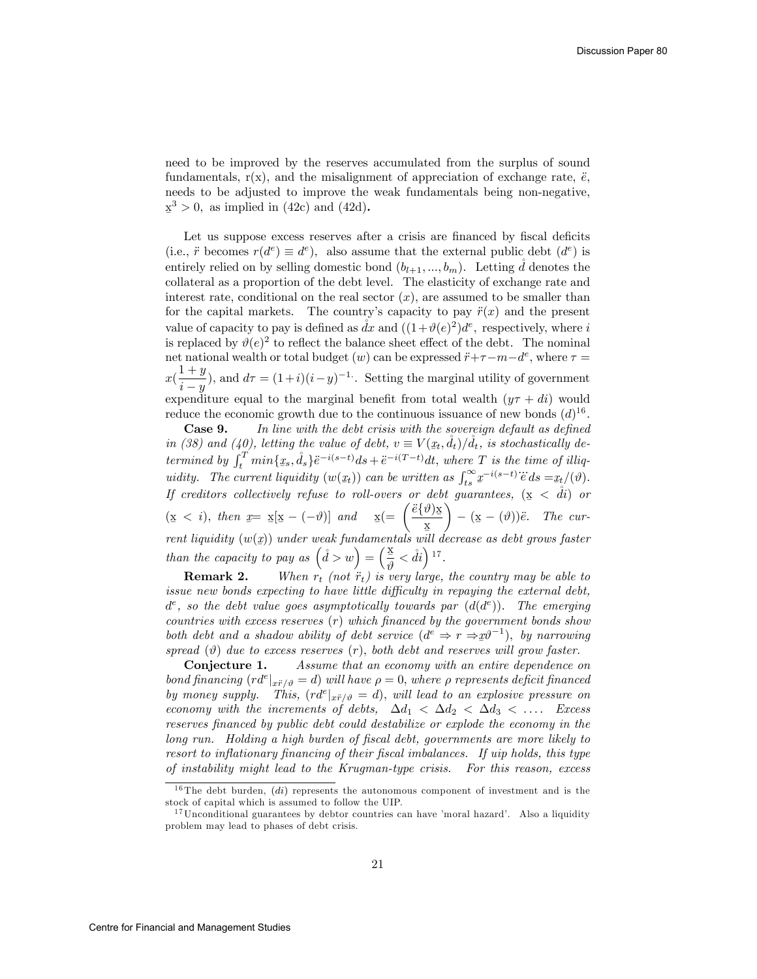need to be improved by the reserves accumulated from the surplus of sound fundamentals,  $r(x)$ , and the misalignment of appreciation of exchange rate,  $\ddot{e}$ , needs to be adjusted to improve the weak fundamentals being non-negative,  $\underline{x}^3 > 0$ , as implied in (42c) and (42d).

Let us suppose excess reserves after a crisis are financed by fiscal deficits (i.e.,  $\ddot{r}$  becomes  $r(d^e) \equiv d^e$ ), also assume that the external public debt  $(d^e)$  is entirely relied on by selling domestic bond  $(b_{l+1},..., b_m)$ . Letting d denotes the collateral as a proportion of the debt level. The elasticity of exchange rate and interest rate, conditional on the real sector  $(x)$ , are assumed to be smaller than for the capital markets. The country's capacity to pay  $\ddot{r}(x)$  and the present value of capacity to pay is defined as  $\hat{dx}$  and  $((1+\vartheta(e)^2)d^e$ , respectively, where i is replaced by  $\vartheta(e)^2$  to reflect the balance sheet effect of the debt. The nominal net national wealth or total budget  $(w)$  can be expressed  $\ddot{r}+\tau-m-d^e$ , where  $\tau =$  $x\left(\frac{1+y}{x}\right)$  $\frac{i + y}{i - y}$ ), and  $d\tau = (1+i)(i - y)^{-1}$ . Setting the marginal utility of government expenditure equal to the marginal benefit from total wealth  $(y\tau + di)$  would reduce the economic growth due to the continuous issuance of new bonds  $(d)^{16}$ .

Case 9. In line with the debt crisis with the sovereign default as defined in (38) and (40), letting the value of debt,  $v \equiv V(x_t, \mathring{d}_t)/\mathring{d}_t$ , is stochastically determined by  $\int_t^T min\{x_s, d_s\}e^{-i(s-t)}ds + e^{-i(T-t)}dt$ , where T is the time of illiqvalidity. The current liquidity  $(w(\underline{x}_t))$  can be written as  $\int_{ts}^{\infty} \underline{x}^{-i(s-t)} \ddot{e} ds = \underline{x}_t/(\vartheta)$ . If creditors collectively refuse to roll-overs or debt guarantees,  $(\mathbf{x} \, < \, \dot{di})$  or Ø  $(\underline{x} < i), \text{ then } \underline{x} = \underline{x}[\underline{x} - (-\vartheta)] \text{ and } \underline{x} (= \left(\frac{\ddot{e} \{\vartheta\} \underline{x}}{\underline{x}}\right)$ rent liquidity  $(w(x))$  under weak fundamentals will decrease as debt grows faster  $\overline{ }$  $-\left(\underline{\mathbf{x}} - (\vartheta)\right)\ddot{e}$ . The curthan the capacity to pay as  $(\tilde{d} > w) = (\frac{x}{\vartheta} < \tilde{d}i)^{17}$ .

**Remark 2.** When  $r_t$  (not  $\ddot{r}_t$ ) is very large, the country may be able to issue new bonds expecting to have little difficulty in repaying the external debt,  $d^e$ , so the debt value goes asymptotically towards par  $(d(d^e))$ . The emerging  $countries with excess reserves (r) which financed by the government bonds show$ both debt and a shadow ability of debt service  $(d^e \Rightarrow r \Rightarrow x\theta^{-1})$ , by narrowing  $\mathcal{L}(\mathcal{A})$  and  $\mathcal{A}$  is a contract definity by decrease (c), both debt and reserves will grow faster.

**Conjecture 1.** Assume that an economy with an entire dependence on bond financing  $(r d^e)_{\vec{x} \vec{r}/\vartheta} = d$ ) will have  $\rho = 0$ , where  $\rho$  represents deficit financed by money supply. This,  $(r d^{e}|_{x \ddot{r}/\vartheta} = d)$ , will lead to an explosive pressure on economy with the increments of debts,  $\Delta d_1 < \Delta d_2 < \Delta d_3 < \ldots$ . Excess reserves Önanced by public debt could destabilize or explode the economy in the long run. Holding a high burden of Öscal debt, governments are more likely to resort to inflationary financing of their fiscal imbalances. If uip holds, this type of instability might lead to the Krugman-type crisis. For this reason, excess

 $16$ The debt burden,  $(di)$  represents the autonomous component of investment and is the stock of capital which is assumed to follow the UIP.

 $17$ Unconditional guarantees by debtor countries can have 'moral hazard'. Also a liquidity problem may lead to phases of debt crisis.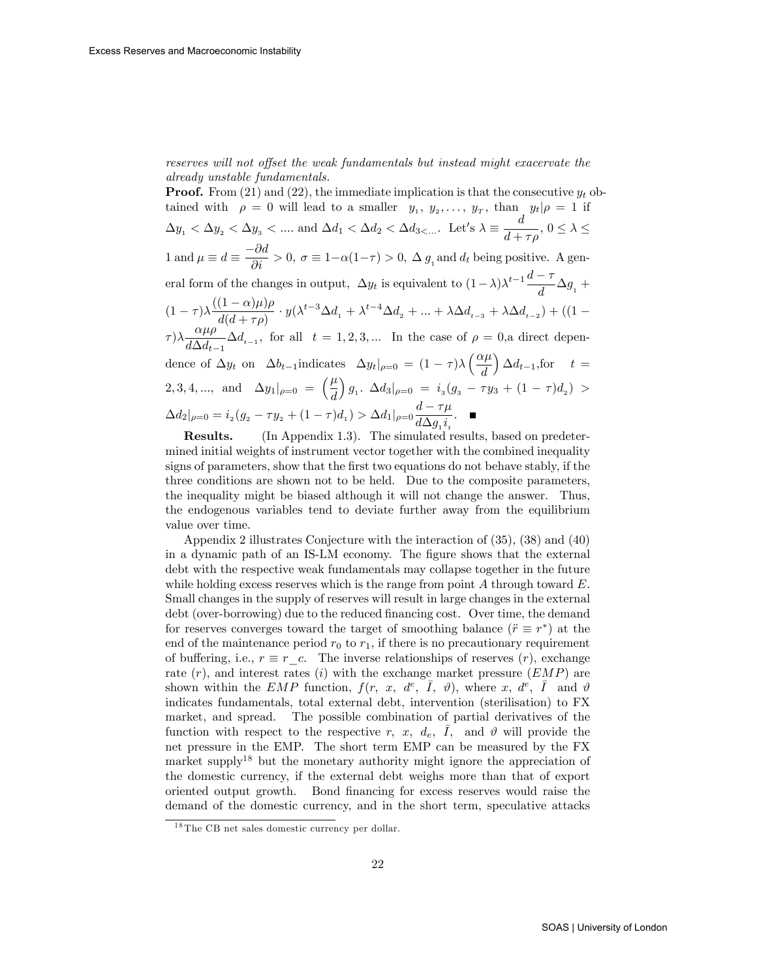reserves will not offset the weak fundamentals but instead might exacervate the already unstable fundamentals.

**Proof.** From (21) and (22), the immediate implication is that the consecutive  $y_t$  obtained with  $\rho = 0$  will lead to a smaller  $y_1, y_2, \ldots, y_T$ , than  $y_t | \rho = 1$  if  $\Delta y_1 < \Delta y_2 < \Delta y_3 < \dots$  and  $\Delta d_1 < \Delta d_2 < \Delta d_3 < \dots$ . Let's  $\lambda \equiv \frac{d}{d+1}$  $\frac{a}{d + \tau \rho}, 0 \leq \lambda \leq$ 1 and  $\mu \equiv d \equiv \frac{-\partial d}{\partial i} > 0$ ,  $\sigma \equiv 1 - \alpha(1 - \tau) > 0$ ,  $\Delta g_i$  and  $d_t$  being positive. A general form of the changes in output,  $\Delta y_t$  is equivalent to  $(1 - \lambda)\lambda^{t-1} \frac{d - \tau}{d}$  $\frac{1}{d} \Delta g_1 +$  $(1-\tau)\lambda \frac{((1-\alpha)\mu)\rho}{d(d+\tau\rho)}$  $\frac{(1-\alpha)\mu}{d(d+\tau\rho)} \cdot y(\lambda^{t-3}\Delta d_1 + \lambda^{t-4}\Delta d_2 + ... + \lambda \Delta d_{t-3} + \lambda \Delta d_{t-2}) + ((1-\tau)^2)$  $(\tau) \lambda \frac{\alpha \mu \rho}{\mu \Delta}$  $\frac{d\mu}{d\Delta d_{t-1}}\Delta d_{t-1}$ , for all  $t = 1, 2, 3, ...$  In the case of  $\rho = 0$ , a direct dependence of  $\Delta y_t$  on  $\Delta b_{t-1}$ indicates  $\Delta y_t|_{\rho=0} = (1 - \tau)\lambda \left(\frac{\alpha \mu}{d}\right)$ d  $\Big) \Delta d_{t-1}$ , for  $t =$ 2, 3, 4, ..., and  $\Delta y_1|_{\rho=0} = \left(\frac{\mu}{d}\right)$ d  $\int g_1. \ \Delta d_3|_{\rho=0} = i_3(g_3 - \tau y_3 + (1-\tau)d_2) >$  $\Delta d_2|_{\rho=0} = i_2(g_2 - \tau y_2 + (1 - \tau)d_1) > \Delta d_1|_{\rho=0} \frac{d - \tau \mu}{d \Delta a}$  $\frac{d \Delta g_1 i_t}{d \Delta g_1 i_t}$ 

Results. (In Appendix 1.3). The simulated results, based on predetermined initial weights of instrument vector together with the combined inequality signs of parameters, show that the first two equations do not behave stably, if the three conditions are shown not to be held. Due to the composite parameters, the inequality might be biased although it will not change the answer. Thus, the endogenous variables tend to deviate further away from the equilibrium value over time.

Appendix 2 illustrates Conjecture with the interaction of (35), (38) and (40) in a dynamic path of an IS-LM economy. The figure shows that the external debt with the respective weak fundamentals may collapse together in the future while holding excess reserves which is the range from point  $A$  through toward  $E$ . Small changes in the supply of reserves will result in large changes in the external debt (over-borrowing) due to the reduced financing cost. Over time, the demand for reserves converges toward the target of smoothing balance  $(\ddot{r} \equiv r^*)$  at the end of the maintenance period  $r_0$  to  $r_1$ , if there is no precautionary requirement of buffering, i.e.,  $r \equiv r \, c$ . The inverse relationships of reserves  $(r)$ , exchange rate  $(r)$ , and interest rates  $(i)$  with the exchange market pressure  $(EMP)$  are shown within the EMP function,  $f(r, x, d^e, \bar{I}, \theta)$ , where x,  $d^e, \bar{I}$  and  $\theta$ indicates fundamentals, total external debt, intervention (sterilisation) to FX market, and spread. The possible combination of partial derivatives of the function with respect to the respective r, x,  $d_e$ ,  $\overline{I}$ , and  $\vartheta$  will provide the net pressure in the EMP. The short term EMP can be measured by the FX market supply<sup>18</sup> but the monetary authority might ignore the appreciation of the domestic currency, if the external debt weighs more than that of export oriented output growth. Bond Önancing for excess reserves would raise the demand of the domestic currency, and in the short term, speculative attacks

<sup>&</sup>lt;sup>18</sup> The CB net sales domestic currency per dollar.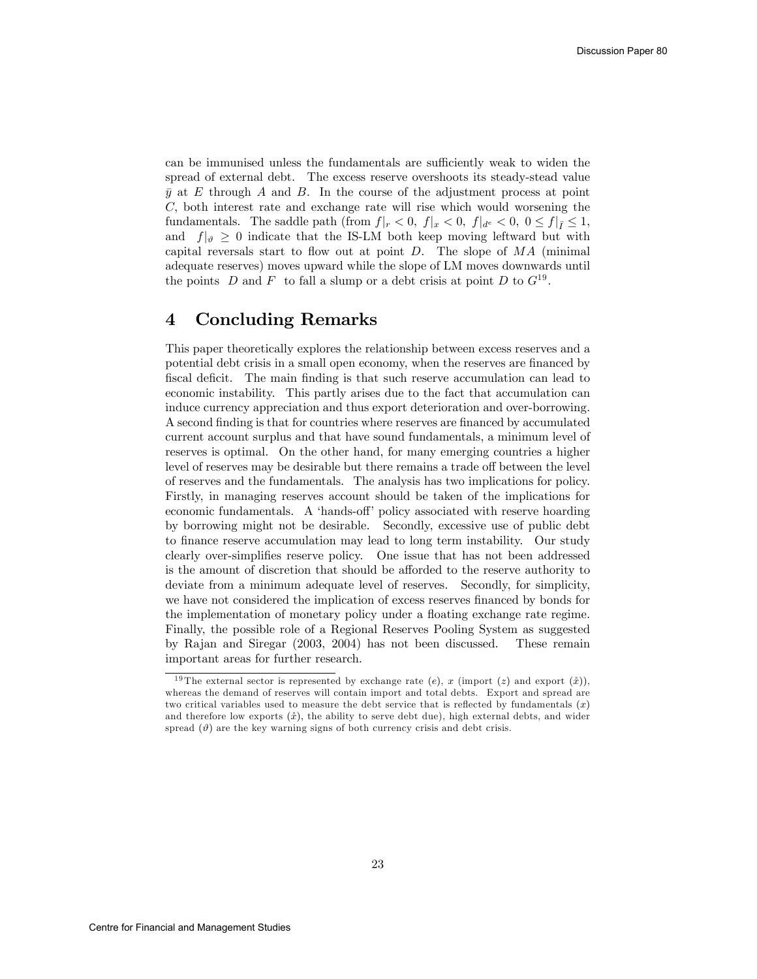can be immunised unless the fundamentals are sufficiently weak to widen the spread of external debt. The excess reserve overshoots its steady-stead value  $\bar{y}$  at E through A and B. In the course of the adjustment process at point C; both interest rate and exchange rate will rise which would worsening the fundamentals. The saddle path  $(\text{from } f|_r < 0, f|_x < 0, f|_{d^e} < 0, 0 \le f|_{\tilde{I}} \le 1,$ and  $f|_{\vartheta} \geq 0$  indicate that the IS-LM both keep moving leftward but with capital reversals start to flow out at point  $D$ . The slope of  $MA$  (minimal adequate reserves) moves upward while the slope of LM moves downwards until the points D and F to fall a slump or a debt crisis at point D to  $G^{19}$ .

## 4 Concluding Remarks

This paper theoretically explores the relationship between excess reserves and a potential debt crisis in a small open economy, when the reserves are financed by fiscal deficit. The main finding is that such reserve accumulation can lead to economic instability. This partly arises due to the fact that accumulation can induce currency appreciation and thus export deterioration and over-borrowing. A second finding is that for countries where reserves are financed by accumulated current account surplus and that have sound fundamentals, a minimum level of reserves is optimal. On the other hand, for many emerging countries a higher level of reserves may be desirable but there remains a trade off between the level of reserves and the fundamentals. The analysis has two implications for policy. Firstly, in managing reserves account should be taken of the implications for economic fundamentals. A 'hands-off' policy associated with reserve hoarding by borrowing might not be desirable. Secondly, excessive use of public debt to Önance reserve accumulation may lead to long term instability. Our study clearly over-simplifies reserve policy. One issue that has not been addressed is the amount of discretion that should be afforded to the reserve authority to deviate from a minimum adequate level of reserves. Secondly, for simplicity, we have not considered the implication of excess reserves financed by bonds for the implementation of monetary policy under a floating exchange rate regime. Finally, the possible role of a Regional Reserves Pooling System as suggested by Rajan and Siregar (2003, 2004) has not been discussed. These remain important areas for further research.

<sup>&</sup>lt;sup>19</sup> The external sector is represented by exchange rate (e), x (import (z) and export  $(\dot{x})$ ), whereas the demand of reserves will contain import and total debts. Export and spread are two critical variables used to measure the debt service that is reflected by fundamentals  $(x)$ and therefore low exports  $(\hat{x})$ , the ability to serve debt due), high external debts, and wider spread  $(\vartheta)$  are the key warning signs of both currency crisis and debt crisis.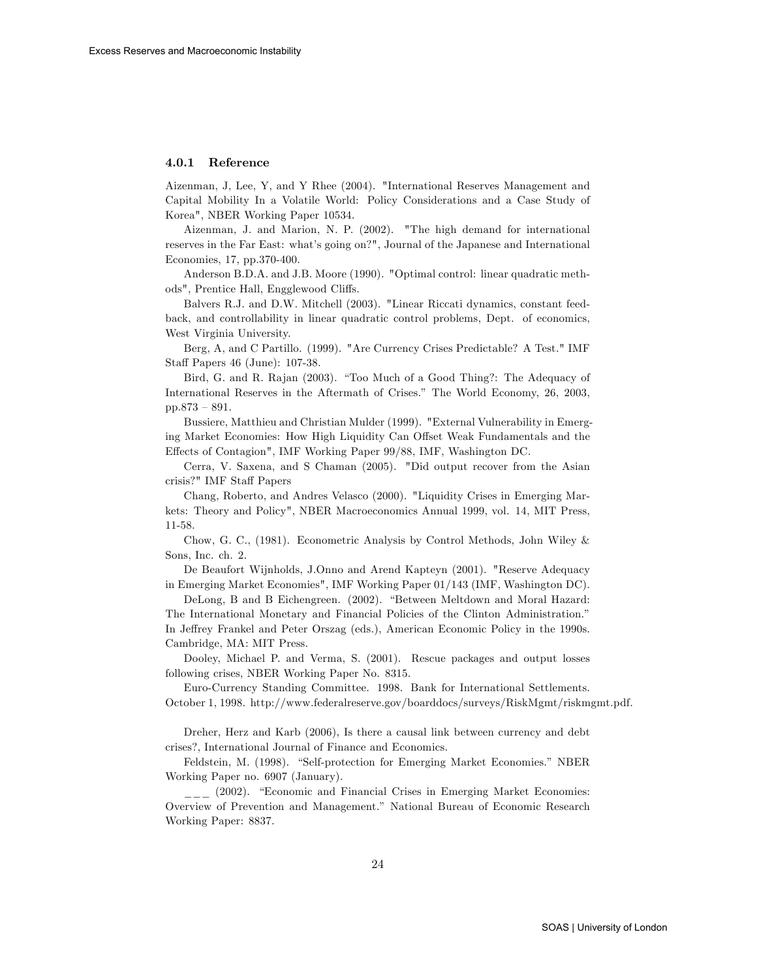#### 4.0.1 Reference

Aizenman, J, Lee, Y, and Y Rhee (2004). "International Reserves Management and Capital Mobility In a Volatile World: Policy Considerations and a Case Study of Korea", NBER Working Paper 10534.

Aizenman, J. and Marion, N. P. (2002). "The high demand for international reserves in the Far East: what's going on?", Journal of the Japanese and International Economies, 17, pp.370-400.

Anderson B.D.A. and J.B. Moore (1990). "Optimal control: linear quadratic methods", Prentice Hall, Engglewood Cliffs.

Balvers R.J. and D.W. Mitchell (2003). "Linear Riccati dynamics, constant feedback, and controllability in linear quadratic control problems, Dept. of economics, West Virginia University.

Berg, A, and C Partillo. (1999). "Are Currency Crises Predictable? A Test." IMF Staff Papers 46 (June): 107-38.

Bird, G. and R. Rajan (2003). "Too Much of a Good Thing?: The Adequacy of International Reserves in the Aftermath of Crises." The World Economy, 26, 2003, pp.873  $-891$ .

Bussiere, Matthieu and Christian Mulder (1999). "External Vulnerability in Emerging Market Economies: How High Liquidity Can Offset Weak Fundamentals and the Effects of Contagion", IMF Working Paper 99/88, IMF, Washington DC.

Cerra, V. Saxena, and S Chaman (2005). "Did output recover from the Asian crisis?" IMF Staff Papers

Chang, Roberto, and Andres Velasco (2000). "Liquidity Crises in Emerging Markets: Theory and Policy", NBER Macroeconomics Annual 1999, vol. 14, MIT Press, 11-58.

Chow, G. C., (1981). Econometric Analysis by Control Methods, John Wiley & Sons, Inc. ch. 2.

De Beaufort Wijnholds, J.Onno and Arend Kapteyn (2001). "Reserve Adequacy in Emerging Market Economies", IMF Working Paper 01/143 (IMF, Washington DC).

DeLong, B and B Eichengreen. (2002). "Between Meltdown and Moral Hazard: The International Monetary and Financial Policies of the Clinton Administration.<sup>"</sup> In Jeffrey Frankel and Peter Orszag (eds.), American Economic Policy in the 1990s. Cambridge, MA: MIT Press.

Dooley, Michael P. and Verma, S. (2001). Rescue packages and output losses following crises, NBER Working Paper No. 8315.

Euro-Currency Standing Committee. 1998. Bank for International Settlements. October 1, 1998. http://www.federalreserve.gov/boarddocs/surveys/RiskMgmt/riskmgmt.pdf.

Dreher, Herz and Karb (2006), Is there a causal link between currency and debt crises?, International Journal of Finance and Economics.

Feldstein, M. (1998). "Self-protection for Emerging Market Economies." NBER Working Paper no. 6907 (January).

(2002). "Economic and Financial Crises in Emerging Market Economies: Overview of Prevention and Management.î National Bureau of Economic Research Working Paper: 8837.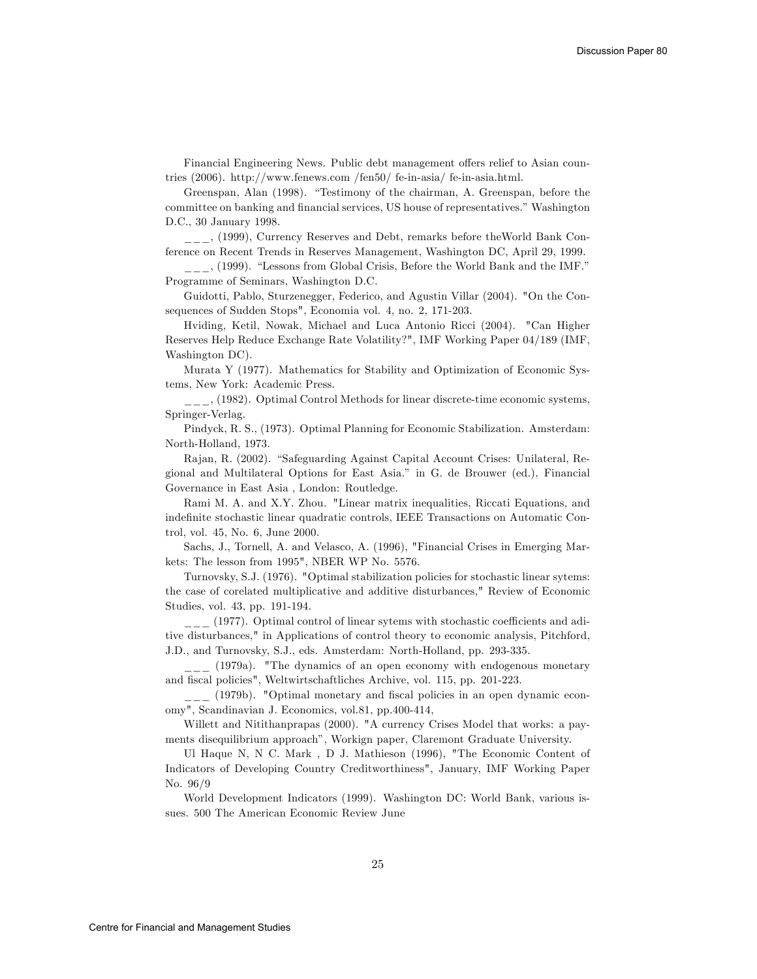Financial Engineering News. Public debt management offers relief to Asian countries (2006). http://www.fenews.com /fen50/ fe-in-asia/ fe-in-asia.html.

Greenspan, Alan (1998). "Testimony of the chairman, A. Greenspan, before the committee on banking and financial services, US house of representatives." Washington D.C., 30 January 1998.

\_\_\_, (1999), Currency Reserves and Debt, remarks before theWorld Bank Conference on Recent Trends in Reserves Management, Washington DC, April 29, 1999.

 $\frac{1}{1-\epsilon}$ , (1999). "Lessons from Global Crisis, Before the World Bank and the IMF." Programme of Seminars, Washington D.C.

Guidotti, Pablo, Sturzenegger, Federico, and Agustin Villar (2004). "On the Consequences of Sudden Stops", Economia vol. 4, no. 2, 171-203.

Hviding, Ketil, Nowak, Michael and Luca Antonio Ricci (2004). "Can Higher Reserves Help Reduce Exchange Rate Volatility?", IMF Working Paper 04/189 (IMF, Washington DC).

Murata Y (1977). Mathematics for Stability and Optimization of Economic Systems, New York: Academic Press.

\_\_\_, (1982). Optimal Control Methods for linear discrete-time economic systems, Springer-Verlag.

Pindyck, R. S., (1973). Optimal Planning for Economic Stabilization. Amsterdam: North-Holland, 1973.

Rajan, R. (2002). "Safeguarding Against Capital Account Crises: Unilateral, Regional and Multilateral Options for East Asia.î in G. de Brouwer (ed.), Financial Governance in East Asia , London: Routledge.

Rami M. A. and X.Y. Zhou. "Linear matrix inequalities, Riccati Equations, and indefinite stochastic linear quadratic controls, IEEE Transactions on Automatic Control, vol. 45, No. 6, June 2000.

Sachs, J., Tornell, A. and Velasco, A. (1996), "Financial Crises in Emerging Markets: The lesson from 1995", NBER WP No. 5576.

Turnovsky, S.J. (1976). "Optimal stabilization policies for stochastic linear sytems: the case of corelated multiplicative and additive disturbances," Review of Economic Studies, vol. 43, pp. 191-194.

 $\frac{1}{2}$  (1977). Optimal control of linear sytems with stochastic coefficients and aditive disturbances," in Applications of control theory to economic analysis, Pitchford, J.D., and Turnovsky, S.J., eds. Amsterdam: North-Holland, pp. 293-335.

 $\frac{1}{2}$  (1979a). "The dynamics of an open economy with endogenous monetary and fiscal policies", Weltwirtschaftliches Archive, vol. 115, pp. 201-223.

\_\_\_ (1979b). "Optimal monetary and Öscal policies in an open dynamic economy", Scandinavian J. Economics, vol.81, pp.400-414,

Willett and Nitithanprapas (2000). "A currency Crises Model that works: a payments disequilibrium approach", Workign paper, Claremont Graduate University.

Ul Haque N, N C. Mark , D J. Mathieson (1996), "The Economic Content of Indicators of Developing Country Creditworthiness", January, IMF Working Paper No. 96/9

World Development Indicators (1999). Washington DC: World Bank, various issues. 500 The American Economic Review June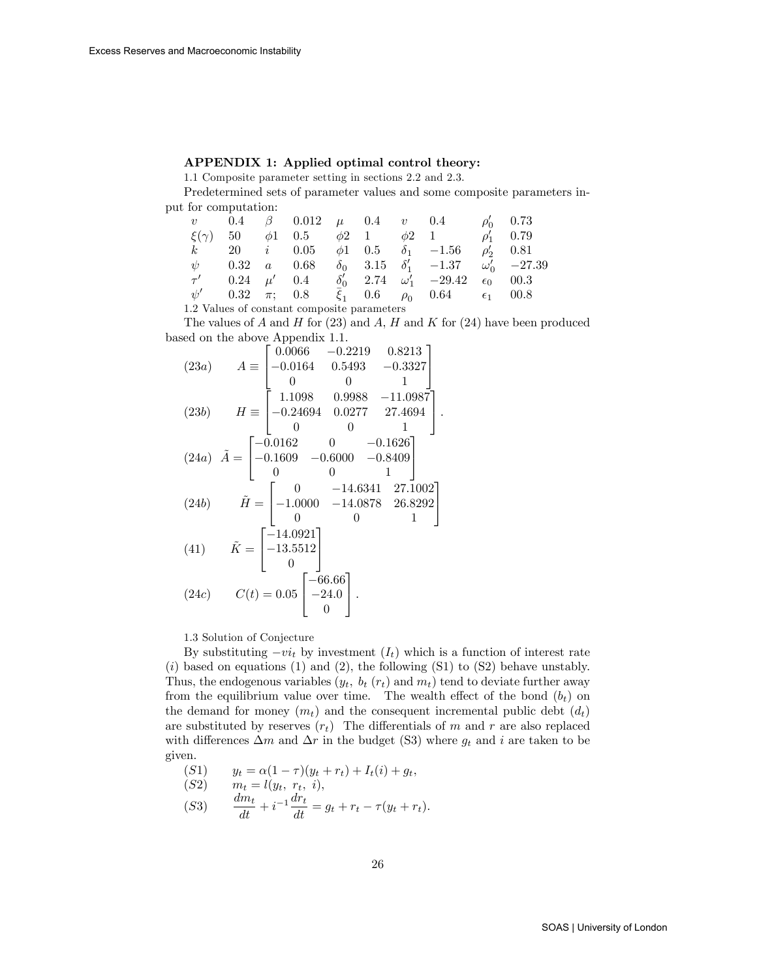#### APPENDIX 1: Applied optimal control theory:

1.1 Composite parameter setting in sections 2.2 and 2.3.

Predetermined sets of parameter values and some composite parameters input for computation:

|                                             |  |  |  |  |  |  | v 0.4 $\beta$ 0.012 $\mu$ 0.4 v 0.4 $\rho'_0$ 0.73                            |  |                |
|---------------------------------------------|--|--|--|--|--|--|-------------------------------------------------------------------------------|--|----------------|
|                                             |  |  |  |  |  |  | $\xi(\gamma)$ 50 $\phi$ 1 0.5 $\phi$ 2 1 $\phi$ 2 1 $\rho'_1$ 0.79            |  |                |
|                                             |  |  |  |  |  |  | k 20 i 0.05 $\phi$ 1 0.5 $\delta_1$ -1.56                                     |  | $\rho'_2$ 0.81 |
|                                             |  |  |  |  |  |  | $\psi$ 0.32 a 0.68 $\delta_0$ 3.15 $\delta'_1$ -1.37 $\omega'_0$ -27.39       |  |                |
|                                             |  |  |  |  |  |  | $\tau'$ 0.24 $\mu'$ 0.4 $\delta'_0$ 2.74 $\omega'_1$ -29.42 $\epsilon_0$ 00.3 |  |                |
|                                             |  |  |  |  |  |  | $\psi'$ 0.32 $\pi$ ; 0.8 $\xi_1$ 0.6 $\rho_0$ 0.64 $\epsilon_1$ 00.8          |  |                |
| 1.2 Values of constant composite parameters |  |  |  |  |  |  |                                                                               |  |                |

The values of A and H for  $(23)$  and A, H and K for  $(24)$  have been produced based on the above Appendix 1.1.

(23*a*) 
$$
A = \begin{bmatrix} 0.0066 & -0.2219 & 0.8213 \\ -0.0164 & 0.5493 & -0.3327 \\ 0 & 0 & 1 \end{bmatrix}
$$
  
\n(23*b*)  $H = \begin{bmatrix} 1.1098 & 0.9988 & -11.0987 \\ -0.24694 & 0.0277 & 27.4694 \\ 0 & 0 & 1 \end{bmatrix}$   
\n(24*a*)  $\tilde{A} = \begin{bmatrix} -0.0162 & 0 & -0.1626 \\ -0.1609 & -0.6000 & -0.8409 \\ 0 & 0 & 1 \end{bmatrix}$   
\n(24*b*)  $\tilde{H} = \begin{bmatrix} 0 & -14.6341 & 27.1002 \\ -1.0000 & -14.0878 & 26.8292 \\ 0 & 0 & 1 \end{bmatrix}$   
\n(41)  $\tilde{K} = \begin{bmatrix} -14.0921 \\ -13.5512 \\ 0 \end{bmatrix}$   
\n(24*c*)  $C(t) = 0.05 \begin{bmatrix} -66.66 \\ -24.0 \\ 0 \end{bmatrix}$ .

1.3 Solution of Conjecture

By substituting  $-vi_t$  by investment  $(I_t)$  which is a function of interest rate  $(i)$  based on equations (1) and (2), the following  $(S1)$  to  $(S2)$  behave unstably. Thus, the endogenous variables  $(y_t, b_t (r_t)$  and  $m_t)$  tend to deviate further away from the equilibrium value over time. The wealth effect of the bond  $(b_t)$  on the demand for money  $(m_t)$  and the consequent incremental public debt  $(d_t)$ are substituted by reserves  $(r_t)$  The differentials of m and r are also replaced with differences  $\Delta m$  and  $\Delta r$  in the budget (S3) where  $g_t$  and i are taken to be given.

(51) 
$$
y_t = \alpha(1 - \tau)(y_t + r_t) + I_t(i) + g_t,
$$
  
\n(52) 
$$
m_t = l(y_t, r_t, i),
$$
  
\n(53) 
$$
\frac{dm_t}{dt} + i^{-1}\frac{dr_t}{dt} = g_t + r_t - \tau(y_t + r_t).
$$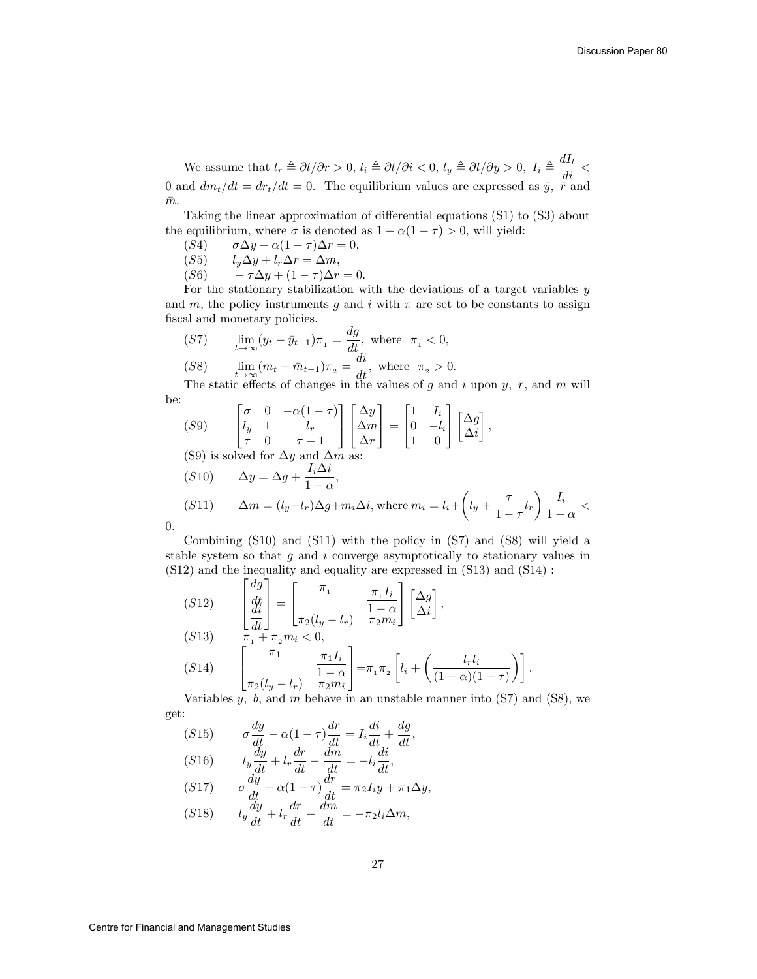$\frac{1}{1-\alpha}$  <

We assume that  $l_r \triangleq \partial l/\partial r > 0$ ,  $l_i \triangleq \partial l/\partial i < 0$ ,  $l_y \triangleq \partial l/\partial y > 0$ ,  $I_i \triangleq \frac{dI_t}{di} <$ 0 and  $dm_t/dt = dr_t/dt = 0$ . The equilibrium values are expressed as  $\bar{y}$ ,  $\bar{r}$  and  $\bar{m}$ .

Taking the linear approximation of differential equations  $(S1)$  to  $(S3)$  about the equilibrium, where  $\sigma$  is denoted as  $1 - \alpha(1 - \tau) > 0$ , will yield:<br>(S4)  $\sigma \Delta y - \alpha(1 - \tau) \Delta r = 0$ ,

- (S4)  $\sigma \Delta y \alpha (1 \tau) \Delta r = 0,$ <br>(S5)  $l_u \Delta y + l_r \Delta r = \Delta m,$
- $l_y \Delta y + l_r \Delta r = \Delta m,$
- (S6)  $-\tau \Delta y + (1 \tau) \Delta r = 0.$

For the stationary stabilization with the deviations of a target variables  $y$ and m, the policy instruments g and i with  $\pi$  are set to be constants to assign fiscal and monetary policies.

$$
(S7) \qquad \lim_{t \to \infty} (y_t - \bar{y}_{t-1})\pi_1 = \frac{dg}{dt}, \text{ where } \pi_1 < 0,
$$
\n
$$
(S8) \qquad \lim_{t \to \infty} (m_t - \bar{m}_{t-1})\pi_2 = \frac{di}{dt}, \text{ where } \pi_2 > 0.
$$

The static effects of changes in the values of g and i upon  $y, r$ , and m will be:  $\mathbf{r}$  $\overline{1}$ 

(59) 
$$
\begin{bmatrix} \sigma & 0 & -\alpha(1-\tau) \\ l_y & 1 & l_r \\ \tau & 0 & \tau - 1 \end{bmatrix} \begin{bmatrix} \Delta y \\ \Delta m \\ \Delta r \end{bmatrix} = \begin{bmatrix} 1 & I_i \\ 0 & -l_i \\ 1 & 0 \end{bmatrix} \begin{bmatrix} \Delta g \\ \Delta i \end{bmatrix},
$$
  
\n(59) is solved for  $\Delta y$  and  $\Delta m$  as:  
\n(510) 
$$
\Delta y = \Delta g + \frac{I_i \Delta i}{1 - \alpha},
$$
  
\n(511) 
$$
\Delta m = (l_y - l_r) \Delta g + m_i \Delta i, \text{ where } m_i = l_i + \left( l_y + \frac{\tau}{1 - \tau} l_r \right) \frac{I_i}{1 - \tau}.
$$

0:

Combining (S10) and (S11) with the policy in (S7) and (S8) will yield a stable system so that  $g$  and  $i$  converge asymptotically to stationary values in (S12) and the inequality and equality are expressed in (S13) and (S14) :

(512) 
$$
\begin{bmatrix} \frac{dg}{dt} \\ \frac{di}{dt} \end{bmatrix} = \begin{bmatrix} \pi_1 & \frac{\pi_1 I_i}{1 - \alpha} \\ \pi_2 (l_y - l_r) & \pi_2 m_i \end{bmatrix} \begin{bmatrix} \Delta g \\ \Delta i \end{bmatrix},
$$
  
\n(513) 
$$
\begin{bmatrix} \pi_1 & \pi_1 I_i \\ \pi_2 (l_y - l_r) & \frac{\pi_1 I_i}{1 - \alpha} \end{bmatrix} = \pi_1 \pi_2 \left[ l_i + \left( \frac{l_r l_i}{(1 - \alpha)(1 - \tau)} \right) \right].
$$

Variables  $y, b$ , and  $m$  behave in an unstable manner into  $(S7)$  and  $(S8)$ , we get:

$$
(S15) \qquad \sigma \frac{dy}{dt} - \alpha (1 - \tau) \frac{dr}{dt} = I_i \frac{di}{dt} + \frac{dg}{dt},
$$
  

$$
(S1C) \qquad I \frac{dy}{dt} + \frac{dr}{dt} \qquad (dii)
$$

$$
\begin{array}{lll} (S16) & l_y \frac{dy}{dt} + l_r \frac{dt}{dt} - \frac{dm}{dt} = -l_i \frac{dv}{dt},\\ (S17) & dy & (1 - v)^{dr} & (1 - v)^{dr} \end{array}
$$

$$
\begin{array}{lll} (S17) & \sigma \frac{dy}{dt} - \alpha (1 - \tau) \frac{du}{dt} = \pi_2 I_i y + \pi_1 \Delta y, \\ (S18) & \sigma \frac{dy}{dt} + \sigma \frac{dr}{dm} & \sigma \Delta x \end{array}
$$

$$
(S18) \qquad l_y \frac{d_y}{dt} + l_r \frac{d_l}{dt} - \frac{d_l}{dt} = -\pi_2 l_i \Delta m,
$$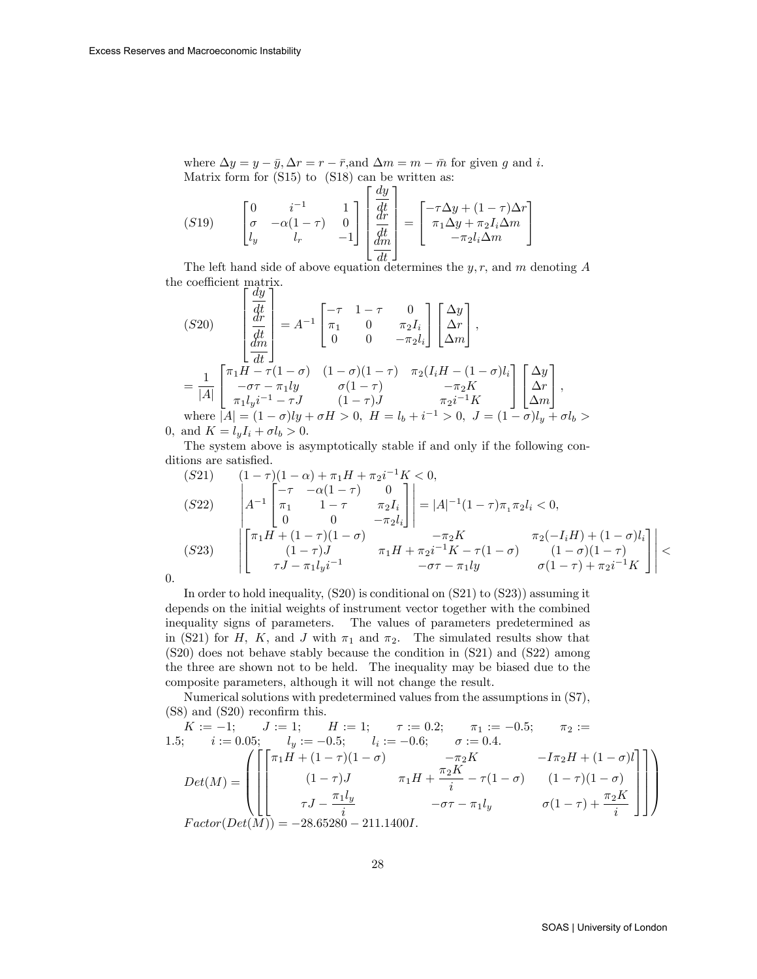where  $\Delta y = y - \bar{y}, \Delta r = r - \bar{r}$ , and  $\Delta m = m - \bar{m}$  for given g and i. Matrix form for (S15) to (S18) can be written as:

$$
(S19) \qquad \begin{bmatrix} 0 & i^{-1} & 1 \\ \sigma & -\alpha(1-\tau) & 0 \\ l_y & l_r & -1 \end{bmatrix} \begin{bmatrix} \frac{dy}{dt} \\ \frac{dr}{dt} \\ \frac{dm}{dt} \end{bmatrix} = \begin{bmatrix} -\tau \Delta y + (1-\tau)\Delta r \\ \pi_1 \Delta y + \pi_2 I_i \Delta m \\ -\pi_2 l_i \Delta m \end{bmatrix}
$$

The left hand side of above equation determines the y, r, and m denoting A the coefficient matrix.  $\lceil dy \rceil$ 

$$
(S20) \begin{bmatrix} \frac{-\sigma}{dt} \\ \frac{dr}{dt} \\ \frac{dm}{dt} \end{bmatrix} = A^{-1} \begin{bmatrix} -\tau & 1-\tau & 0 \\ \pi_1 & 0 & \pi_2 I_i \\ 0 & 0 & -\pi_2 l_i \end{bmatrix} \begin{bmatrix} \Delta y \\ \Delta r \\ \Delta m \end{bmatrix},
$$
  
\n
$$
= \frac{1}{|A|} \begin{bmatrix} \pi_1 H - \tau (1-\sigma) & (1-\sigma)(1-\tau) & \pi_2 (I_i H - (1-\sigma)l_i \\ -\sigma \tau - \pi_1 ly & \sigma (1-\tau) & -\pi_2 K \\ \pi_1 l_y i^{-1} - \tau J & (1-\tau) J & \pi_2 i^{-1} K \\ \text{where } |A| = (1-\sigma)ly + \sigma H > 0, H = l_b + i^{-1} > 0, J = (1-\sigma)l_y + \sigma l_b > 0, \text{ and } K = l_y I_i + \sigma l_b > 0.
$$

The system above is asymptotically stable if and only if the following conditions are satisfied.

$$
(S21) \qquad (1-\tau)(1-\alpha) + \pi_1 H + \pi_2 i^{-1} K < 0,
$$
\n
$$
(S22) \qquad \begin{vmatrix} -\tau & -\alpha(1-\tau) & 0 \\ \pi_1 & 1-\tau & \pi_2 I_i \\ 0 & 0 & -\pi_2 I_i \end{vmatrix} = |A|^{-1} (1-\tau) \pi_1 \pi_2 I_i < 0,
$$
\n
$$
(S23) \qquad \begin{vmatrix} \pi_1 H + (1-\tau)(1-\sigma) & -\pi_2 K & \pi_2(-I_i H) + (1-\sigma) I_i \\ (1-\tau) J & \pi_1 H + \pi_2 i^{-1} K - \tau (1-\sigma) & (1-\sigma)(1-\tau) \\ -\sigma \tau - \pi_1 l y & \sigma (1-\tau) + \pi_2 i^{-1} K \end{vmatrix} \le
$$

0:

In order to hold inequality, (S20) is conditional on (S21) to (S23)) assuming it depends on the initial weights of instrument vector together with the combined inequality signs of parameters. The values of parameters predetermined as in (S21) for H, K, and J with  $\pi_1$  and  $\pi_2$ . The simulated results show that (S20) does not behave stably because the condition in (S21) and (S22) among the three are shown not to be held. The inequality may be biased due to the composite parameters, although it will not change the result.

Numerical solutions with predetermined values from the assumptions in (S7),  $(S8)$  and  $(S20)$  reconfirm this.

$$
K := -1; \quad J := 1; \quad H := 1; \quad \tau := 0.2; \quad \pi_1 := -0.5; \quad \pi_2 :=
$$
  
\n1.5; \quad i := 0.05; \quad l\_y := -0.5; \quad l\_i := -0.6; \quad \sigma := 0.4.  
\n
$$
Det(M) = \left( \begin{bmatrix} \pi_1 H + (1 - \tau)(1 - \sigma) & -\pi_2 K & -I\pi_2 H + (1 - \sigma) I \\ (1 - \tau)J & \pi_1 H + \frac{\pi_2 K}{i} - \tau (1 - \sigma) & (1 - \tau)(1 - \sigma) \\ \tau J - \frac{\pi_1 l_y}{i} & -\sigma \tau - \pi_1 l_y & \sigma (1 - \tau) + \frac{\pi_2 K}{i} \end{bmatrix} \right)
$$
  
\nFactor(*Det*(*M*)) = -28.65280 - 211.1400*I*.